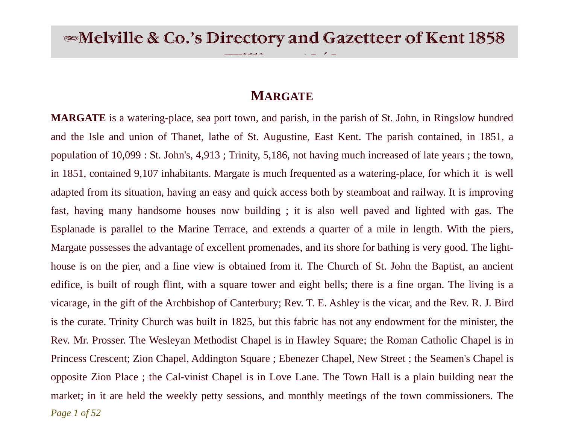$\frac{1}{\sqrt{18}}$ 

# **MARGATE**

*Page 1 of 52* **MARGATE** is a watering-place, sea port town, and parish, in the parish of St. John, in Ringslow hundred and the Isle and union of Thanet, lathe of St. Augustine, East Kent. The parish contained, in 1851, a population of 10,099 : St. John's, 4,913 ; Trinity, 5,186, not having much increased of late years ; the town, in 1851, contained 9,107 inhabitants. Margate is much frequented as a watering-place, for which it is well adapted from its situation, having an easy and quick access both by steamboat and railway. It is improving fast, having many handsome houses now building ; it is also well paved and lighted with gas. The Esplanade is parallel to the Marine Terrace, and extends a quarter of a mile in length. With the piers, Margate possesses the advantage of excellent promenades, and its shore for bathing is very good. The lighthouse is on the pier, and a fine view is obtained from it. The Church of St. John the Baptist, an ancient edifice, is built of rough flint, with a square tower and eight bells; there is a fine organ. The living is a vicarage, in the gift of the Archbishop of Canterbury; Rev. T. E. Ashley is the vicar, and the Rev. R. J. Bird is the curate. Trinity Church was built in 1825, but this fabric has not any endowment for the minister, the Rev. Mr. Prosser. The Wesleyan Methodist Chapel is in Hawley Square; the Roman Catholic Chapel is in Princess Crescent; Zion Chapel, Addington Square ; Ebenezer Chapel, New Street ; the Seamen's Chapel is opposite Zion Place ; the Cal-vinist Chapel is in Love Lane. The Town Hall is a plain building near the market; in it are held the weekly petty sessions, and monthly meetings of the town commissioners. The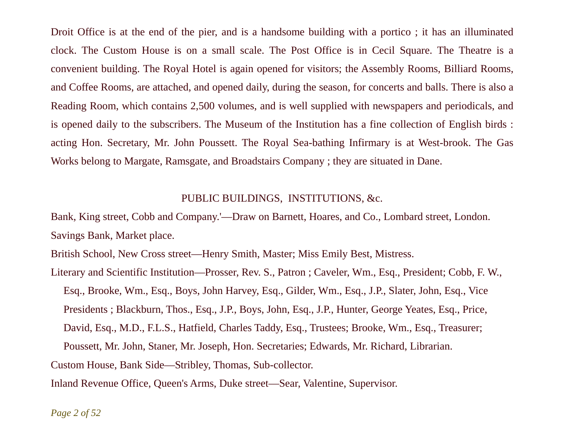Droit Office is at the end of the pier, and is a handsome building with a portico ; it has an illuminated clock. The Custom House is on a small scale. The Post Office is in Cecil Square. The Theatre is a convenient building. The Royal Hotel is again opened for visitors; the Assembly Rooms, Billiard Rooms, and Coffee Rooms, are attached, and opened daily, during the season, for concerts and balls. There is also a Reading Room, which contains 2,500 volumes, and is well supplied with newspapers and periodicals, and is opened daily to the subscribers. The Museum of the Institution has a fine collection of English birds : acting Hon. Secretary, Mr. John Poussett. The Royal Sea-bathing Infirmary is at West-brook. The Gas Works belong to Margate, Ramsgate, and Broadstairs Company ; they are situated in Dane.

## PUBLIC BUILDINGS, INSTITUTIONS, &c.

Bank, King street, Cobb and Company.'—Draw on Barnett, Hoares, and Co., Lombard street, London. Savings Bank, Market place.

British School, New Cross street—Henry Smith, Master; Miss Emily Best, Mistress.

Literary and Scientific Institution—Prosser, Rev. S., Patron ; Caveler, Wm., Esq., President; Cobb, F. W., Esq., Brooke, Wm., Esq., Boys, John Harvey, Esq., Gilder, Wm., Esq., J.P., Slater, John, Esq., Vice Presidents ; Blackburn, Thos., Esq., J.P., Boys, John, Esq., J.P., Hunter, George Yeates, Esq., Price, David, Esq., M.D., F.L.S., Hatfield, Charles Taddy, Esq., Trustees; Brooke, Wm., Esq., Treasurer; Poussett, Mr. John, Staner, Mr. Joseph, Hon. Secretaries; Edwards, Mr. Richard, Librarian. Custom House, Bank Side—Stribley, Thomas, Sub-collector.

Inland Revenue Office, Queen's Arms, Duke street—Sear, Valentine, Supervisor.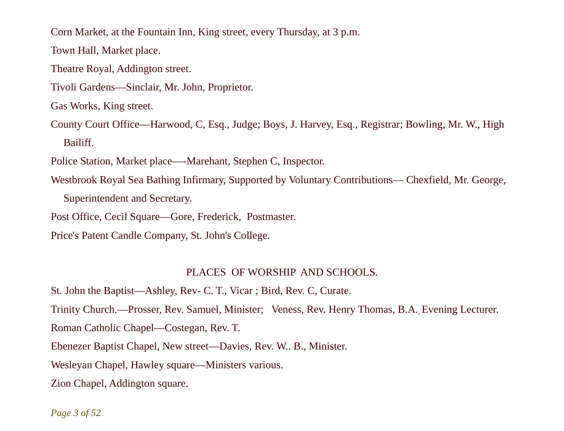Corn Market, at the Fountain Inn, King street, every Thursday, at 3 p.m.

Town Hall, Market place.

Theatre Royal, Addington street.

Tivoli Gardens—Sinclair, Mr. John, Proprietor.

Gas Works, King street.

County Court Office—Harwood, C, Esq., Judge; Boys, J. Harvey, Esq., Registrar; Bowling, Mr. W., High Bailiff.

Police Station, Market place—-Marehant, Stephen C, Inspector.

Westbrook Royal Sea Bathing Infirmary, Supported by Voluntary Contributions— Chexfield, Mr. George,

Superintendent and Secretary.

Post Office, Cecil Square—Gore, Frederick, Postmaster.

Price's Patent Candle Company, St. John's College.

### PLACES OF WORSHIP AND SCHOOLS.

St. John the Baptist—Ashley, Rev- C. T., Vicar ; Bird, Rev. C, Curate.

Trinity Church.—Prosser, Rev. Samuel, Minister; Veness, Rev. Henry Thomas, B.A., Evening Lecturer.

Roman Catholic Chapel—Costegan, Rev. T.

Ebenezer Baptist Chapel, New street—Davies, Rev. W.. B., Minister.

Wesleyan Chapel, Hawley square—Ministers various.

Zion Chapel, Addington square.

*Page 3 of 52*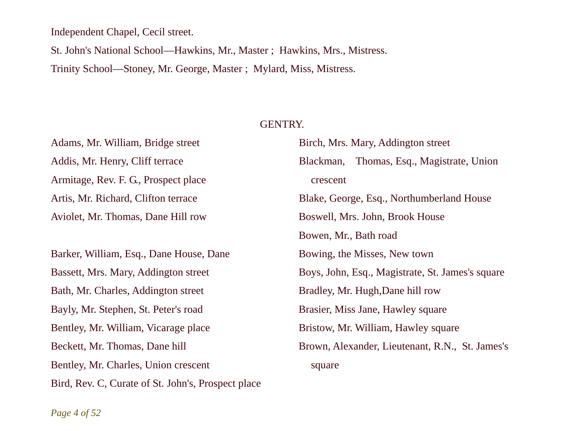Independent Chapel, Cecil street.

St. John's National School—Hawkins, Mr., Master ; Hawkins, Mrs., Mistress.

Trinity School—Stoney, Mr. George, Master ; Mylard, Miss, Mistress.

## GENTRY.

Adams, Mr. William, Bridge street Addis, Mr. Henry, Cliff terrace Armitage, Rev. F. G., Prospect place Artis, Mr. Richard, Clifton terrace Aviolet, Mr. Thomas, Dane Hill row

Barker, William, Esq., Dane House, Dane Bassett, Mrs. Mary, Addington street Bath, Mr. Charles, Addington street Bayly, Mr. Stephen, St. Peter's road Bentley, Mr. William, Vicarage place Beckett, Mr. Thomas, Dane hill Bentley, Mr. Charles, Union crescent Bird, Rev. C, Curate of St. John's, Prospect place Birch, Mrs. Mary, Addington street Blackman, Thomas, Esq., Magistrate, Union crescent Blake, George, Esq., Northumberland House Boswell, Mrs. John, Brook House Bowen, Mr., Bath road Bowing, the Misses, New town Boys, John, Esq., Magistrate, St. James's square Bradley, Mr. Hugh,Dane hill row Brasier, Miss Jane, Hawley square Bristow, Mr. William, Hawley square Brown, Alexander, Lieutenant, R.N., St. James's square

*Page 4 of 52*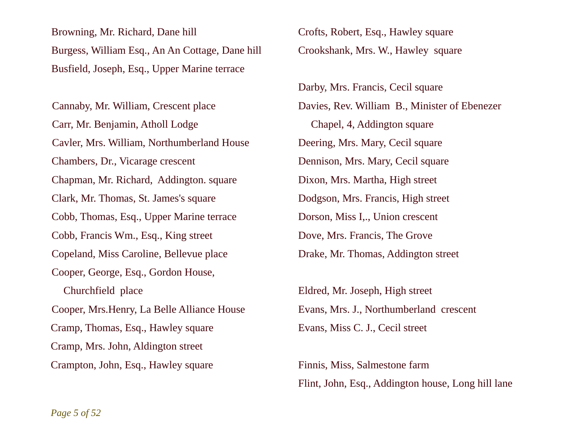Browning, Mr. Richard, Dane hill Burgess, William Esq., An An Cottage, Dane hill Busfield, Joseph, Esq., Upper Marine terrace

Cannaby, Mr. William, Crescent place Carr, Mr. Benjamin, Atholl Lodge Cavler, Mrs. William, Northumberland House Chambers, Dr., Vicarage crescent Chapman, Mr. Richard, Addington. square Clark, Mr. Thomas, St. James's square Cobb, Thomas, Esq., Upper Marine terrace Cobb, Francis Wm., Esq., King street Copeland, Miss Caroline, Bellevue place Cooper, George, Esq., Gordon House, Churchfield place Cooper, Mrs.Henry, La Belle Alliance House Cramp, Thomas, Esq., Hawley square Cramp, Mrs. John, Aldington street Crampton, John, Esq., Hawley square

Crofts, Robert, Esq., Hawley square Crookshank, Mrs. W., Hawley square

Darby, Mrs. Francis, Cecil square Davies, Rev. William B., Minister of Ebenezer Chapel, 4, Addington square Deering, Mrs. Mary, Cecil square Dennison, Mrs. Mary, Cecil square Dixon, Mrs. Martha, High street Dodgson, Mrs. Francis, High street Dorson, Miss I,., Union crescent Dove, Mrs. Francis, The Grove Drake, Mr. Thomas, Addington street

Eldred, Mr. Joseph, High street Evans, Mrs. J., Northumberland crescent Evans, Miss C. J., Cecil street

Finnis, Miss, Salmestone farm Flint, John, Esq., Addington house, Long hill lane

*Page 5 of 52*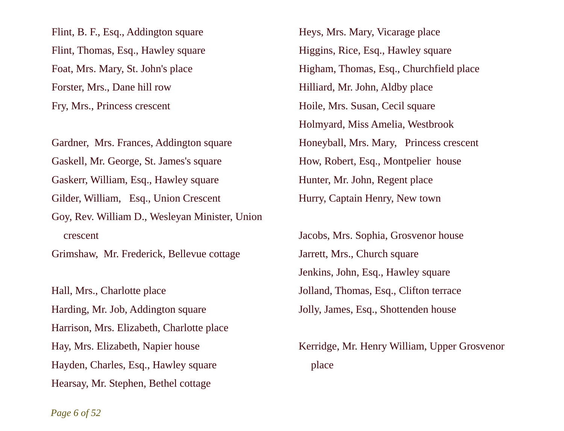Flint, B. F., Esq., Addington square Flint, Thomas, Esq., Hawley square Foat, Mrs. Mary, St. John's place Forster, Mrs., Dane hill row Fry, Mrs., Princess crescent

Gardner, Mrs. Frances, Addington square Gaskell, Mr. George, St. James's square Gaskerr, William, Esq., Hawley square Gilder, William, Esq., Union Crescent Goy, Rev. William D., Wesleyan Minister, Union crescent

Grimshaw, Mr. Frederick, Bellevue cottage

Hall, Mrs., Charlotte place Harding, Mr. Job, Addington square Harrison, Mrs. Elizabeth, Charlotte place Hay, Mrs. Elizabeth, Napier house Hayden, Charles, Esq., Hawley square Hearsay, Mr. Stephen, Bethel cottage

Heys, Mrs. Mary, Vicarage place Higgins, Rice, Esq., Hawley square Higham, Thomas, Esq., Churchfield place Hilliard, Mr. John, Aldby place Hoile, Mrs. Susan, Cecil square Holmyard, Miss Amelia, Westbrook Honeyball, Mrs. Mary, Princess crescent How, Robert, Esq., Montpelier house Hunter, Mr. John, Regent place Hurry, Captain Henry, New town

Jacobs, Mrs. Sophia, Grosvenor house Jarrett, Mrs., Church square Jenkins, John, Esq., Hawley square Jolland, Thomas, Esq., Clifton terrace Jolly, James, Esq., Shottenden house

Kerridge, Mr. Henry William, Upper Grosvenor place

*Page 6 of 52*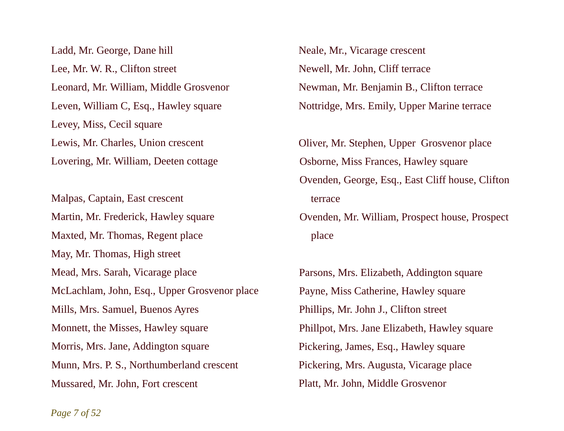Ladd, Mr. George, Dane hill Lee, Mr. W. R., Clifton street Leonard, Mr. William, Middle Grosvenor Leven, William C, Esq., Hawley square Levey, Miss, Cecil square Lewis, Mr. Charles, Union crescent Lovering, Mr. William, Deeten cottage

Malpas, Captain, East crescent Martin, Mr. Frederick, Hawley square Maxted, Mr. Thomas, Regent place May, Mr. Thomas, High street Mead, Mrs. Sarah, Vicarage place McLachlam, John, Esq., Upper Grosvenor place Mills, Mrs. Samuel, Buenos Ayres Monnett, the Misses, Hawley square Morris, Mrs. Jane, Addington square Munn, Mrs. P. S., Northumberland crescent Mussared, Mr. John, Fort crescent

Neale, Mr., Vicarage crescent Newell, Mr. John, Cliff terrace Newman, Mr. Benjamin B., Clifton terrace Nottridge, Mrs. Emily, Upper Marine terrace

Oliver, Mr. Stephen, Upper Grosvenor place Osborne, Miss Frances, Hawley square Ovenden, George, Esq., East Cliff house, Clifton terrace Ovenden, Mr. William, Prospect house, Prospect

place

Parsons, Mrs. Elizabeth, Addington square Payne, Miss Catherine, Hawley square Phillips, Mr. John J., Clifton street Phillpot, Mrs. Jane Elizabeth, Hawley square Pickering, James, Esq., Hawley square Pickering, Mrs. Augusta, Vicarage place Platt, Mr. John, Middle Grosvenor

*Page 7 of 52*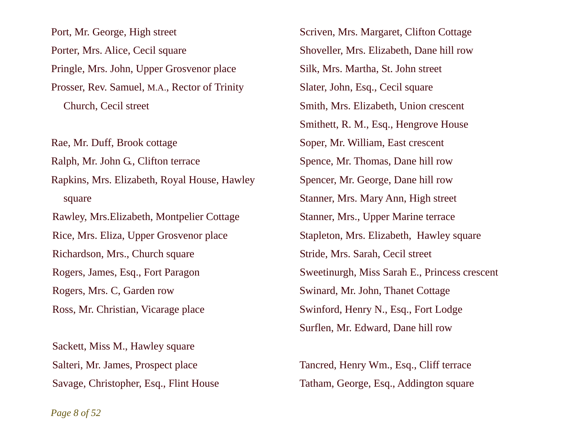Port, Mr. George, High street Porter, Mrs. Alice, Cecil square Pringle, Mrs. John, Upper Grosvenor place Prosser, Rev. Samuel, M.A., Rector of Trinity Church, Cecil street

Rae, Mr. Duff, Brook cottage Ralph, Mr. John G., Clifton terrace Rapkins, Mrs. Elizabeth, Royal House, Hawley square Rawley, Mrs.Elizabeth, Montpelier Cottage Rice, Mrs. Eliza, Upper Grosvenor place Richardson, Mrs., Church square Rogers, James, Esq., Fort Paragon Rogers, Mrs. C, Garden row Ross, Mr. Christian, Vicarage place

Sackett, Miss M., Hawley square Salteri, Mr. James, Prospect place Savage, Christopher, Esq., Flint House Scriven, Mrs. Margaret, Clifton Cottage Shoveller, Mrs. Elizabeth, Dane hill row Silk, Mrs. Martha, St. John street Slater, John, Esq., Cecil square Smith, Mrs. Elizabeth, Union crescent Smithett, R. M., Esq., Hengrove House Soper, Mr. William, East crescent Spence, Mr. Thomas, Dane hill row Spencer, Mr. George, Dane hill row Stanner, Mrs. Mary Ann, High street Stanner, Mrs., Upper Marine terrace Stapleton, Mrs. Elizabeth, Hawley square Stride, Mrs. Sarah, Cecil street Sweetinurgh, Miss Sarah E., Princess crescent Swinard, Mr. John, Thanet Cottage Swinford, Henry N., Esq., Fort Lodge Surflen, Mr. Edward, Dane hill row

Tancred, Henry Wm., Esq., Cliff terrace Tatham, George, Esq., Addington square

*Page 8 of 52*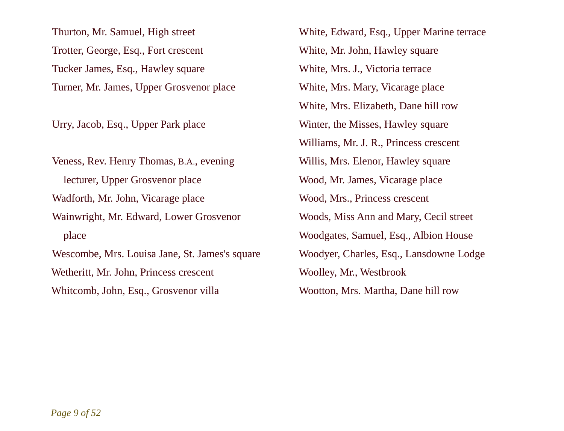Thurton, Mr. Samuel, High street Trotter, George, Esq., Fort crescent Tucker James, Esq., Hawley square Turner, Mr. James, Upper Grosvenor place

Urry, Jacob, Esq., Upper Park place

Veness, Rev. Henry Thomas, B.A., evening lecturer, Upper Grosvenor place Wadforth, Mr. John, Vicarage place Wainwright, Mr. Edward, Lower Grosvenor place Wescombe, Mrs. Louisa Jane, St. James's square Wetheritt, Mr. John, Princess crescent Whitcomb, John, Esq., Grosvenor villa

White, Edward, Esq., Upper Marine terrace White, Mr. John, Hawley square White, Mrs. J., Victoria terrace White, Mrs. Mary, Vicarage place White, Mrs. Elizabeth, Dane hill row Winter, the Misses, Hawley square Williams, Mr. J. R., Princess crescent Willis, Mrs. Elenor, Hawley square Wood, Mr. James, Vicarage place Wood, Mrs., Princess crescent Woods, Miss Ann and Mary, Cecil street Woodgates, Samuel, Esq., Albion House Woodyer, Charles, Esq., Lansdowne Lodge Woolley, Mr., Westbrook Wootton, Mrs. Martha, Dane hill row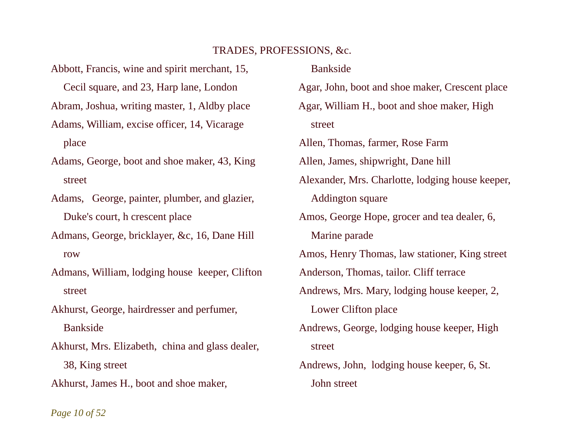# TRADES, PROFESSIONS, &c.

Abbott, Francis, wine and spirit merchant, 15, Cecil square, and 23, Harp lane, London Abram, Joshua, writing master, 1, Aldby place Adams, William, excise officer, 14, Vicarage place

Adams, George, boot and shoe maker, 43, King street

Adams, George, painter, plumber, and glazier, Duke's court, h crescent place

Admans, George, bricklayer, &c, 16, Dane Hill row

Admans, William, lodging house keeper, Clifton street

Akhurst, George, hairdresser and perfumer, Bankside

Akhurst, Mrs. Elizabeth, china and glass dealer, 38, King street

Akhurst, James H., boot and shoe maker,

Bankside

Agar, John, boot and shoe maker, Crescent place Agar, William H., boot and shoe maker, High street Allen, Thomas, farmer, Rose Farm Allen, James, shipwright, Dane hill Alexander, Mrs. Charlotte, lodging house keeper, Addington square Amos, George Hope, grocer and tea dealer, 6, Marine parade Amos, Henry Thomas, law stationer, King street Anderson, Thomas, tailor. Cliff terrace Andrews, Mrs. Mary, lodging house keeper, 2, Lower Clifton place Andrews, George, lodging house keeper, High street Andrews, John, lodging house keeper, 6, St. John street

*Page 10 of 52*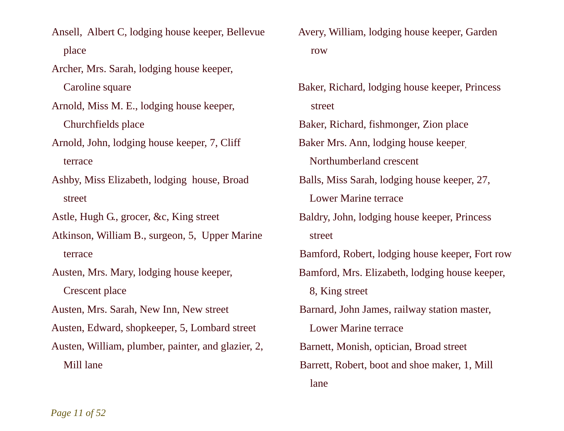Ansell, Albert C, lodging house keeper, Bellevue place

Archer, Mrs. Sarah, lodging house keeper,

Caroline square

Arnold, Miss M. E., lodging house keeper, Churchfields place

Arnold, John, lodging house keeper, 7, Cliff terrace

Ashby, Miss Elizabeth, lodging house, Broad street

Astle, Hugh G., grocer, &c, King street

Atkinson, William B., surgeon, 5, Upper Marine terrace

Austen, Mrs. Mary, lodging house keeper, Crescent place

Austen, Mrs. Sarah, New Inn, New street

Austen, Edward, shopkeeper, 5, Lombard street

Austen, William, plumber, painter, and glazier, 2, Mill lane

Avery, William, lodging house keeper, Garden row

Baker, Richard, lodging house keeper, Princess street

Baker, Richard, fishmonger, Zion place

Baker Mrs. Ann, lodging house keeper,

Northumberland crescent

Balls, Miss Sarah, lodging house keeper, 27, Lower Marine terrace

Baldry, John, lodging house keeper, Princess street

Bamford, Robert, lodging house keeper, Fort row

Bamford, Mrs. Elizabeth, lodging house keeper,

8, King street

Barnard, John James, railway station master,

Lower Marine terrace

Barnett, Monish, optician, Broad street

Barrett, Robert, boot and shoe maker, 1, Mill lane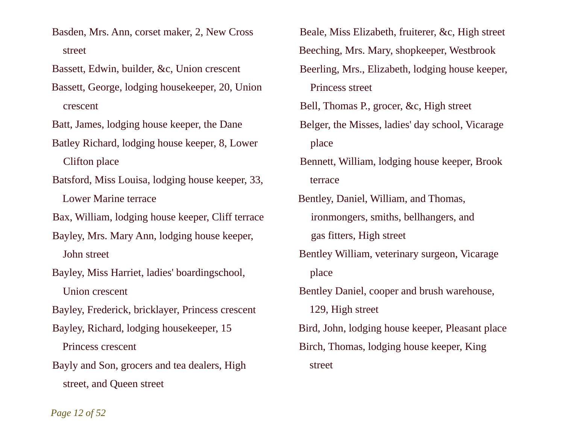Basden, Mrs. Ann, corset maker, 2, New Cross street

Bassett, Edwin, builder, &c, Union crescent

Bassett, George, lodging housekeeper, 20, Union crescent

Batt, James, lodging house keeper, the Dane

Batley Richard, lodging house keeper, 8, Lower Clifton place

Batsford, Miss Louisa, lodging house keeper, 33,

Lower Marine terrace

Bax, William, lodging house keeper, Cliff terrace

Bayley, Mrs. Mary Ann, lodging house keeper, John street

Bayley, Miss Harriet, ladies' boardingschool,

Union crescent

Bayley, Frederick, bricklayer, Princess crescent

Bayley, Richard, lodging housekeeper, 15

Princess crescent

Bayly and Son, grocers and tea dealers, High street, and Queen street

Beale, Miss Elizabeth, fruiterer, &c, High street Beeching, Mrs. Mary, shopkeeper, Westbrook Beerling, Mrs., Elizabeth, lodging house keeper, Princess street Bell, Thomas P., grocer, &c, High street

Belger, the Misses, ladies' day school, Vicarage place

Bennett, William, lodging house keeper, Brook terrace

Bentley, Daniel, William, and Thomas, ironmongers, smiths, bellhangers, and gas fitters, High street Bentley William, veterinary surgeon, Vicarage place Bentley Daniel, cooper and brush warehouse, 129, High street Bird, John, lodging house keeper, Pleasant place Birch, Thomas, lodging house keeper, King

street

*Page 12 of 52*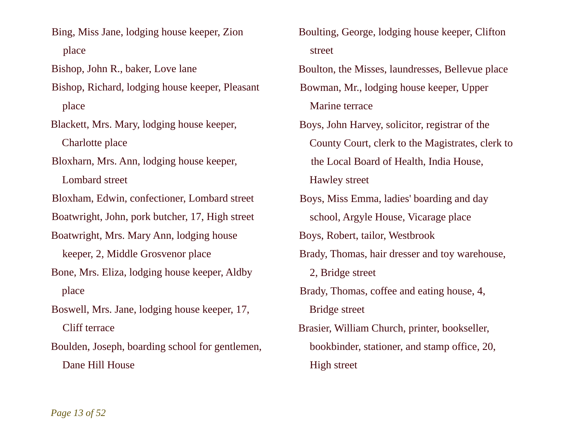Bing, Miss Jane, lodging house keeper, Zion place

Bishop, John R., baker, Love lane

Bishop, Richard, lodging house keeper, Pleasant place

Blackett, Mrs. Mary, lodging house keeper, Charlotte place

Bloxharn, Mrs. Ann, lodging house keeper,

Lombard street

Bloxham, Edwin, confectioner, Lombard street

Boatwright, John, pork butcher, 17, High street

Boatwright, Mrs. Mary Ann, lodging house

keeper, 2, Middle Grosvenor place

Bone, Mrs. Eliza, lodging house keeper, Aldby place

Boswell, Mrs. Jane, lodging house keeper, 17, Cliff terrace

Boulden, Joseph, boarding school for gentlemen, Dane Hill House

Boulting, George, lodging house keeper, Clifton street

Boulton, the Misses, laundresses, Bellevue place Bowman, Mr., lodging house keeper, Upper

Marine terrace

Boys, John Harvey, solicitor, registrar of the County Court, clerk to the Magistrates, clerk to the Local Board of Health, India House, Hawley street

Boys, Miss Emma, ladies' boarding and day school, Argyle House, Vicarage place

Boys, Robert, tailor, Westbrook

Brady, Thomas, hair dresser and toy warehouse,

2, Bridge street

Brady, Thomas, coffee and eating house, 4, Bridge street

Brasier, William Church, printer, bookseller, bookbinder, stationer, and stamp office, 20, High street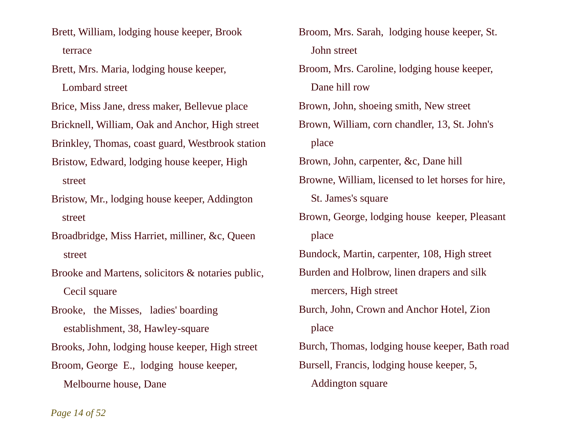Brett, William, lodging house keeper, Brook terrace

Brett, Mrs. Maria, lodging house keeper,

Lombard street

Brice, Miss Jane, dress maker, Bellevue place

Bricknell, William, Oak and Anchor, High street

Brinkley, Thomas, coast guard, Westbrook station

- Bristow, Edward, lodging house keeper, High street
- Bristow, Mr., lodging house keeper, Addington street

Broadbridge, Miss Harriet, milliner, &c, Queen street

Brooke and Martens, solicitors & notaries public, Cecil square

Brooke, the Misses, ladies' boarding establishment, 38, Hawley-square Brooks, John, lodging house keeper, High street Broom, George E., lodging house keeper, Melbourne house, Dane

Broom, Mrs. Sarah, lodging house keeper, St. John street Broom, Mrs. Caroline, lodging house keeper, Dane hill row Brown, John, shoeing smith, New street Brown, William, corn chandler, 13, St. John's place Brown, John, carpenter, &c, Dane hill Browne, William, licensed to let horses for hire, St. James's square Brown, George, lodging house keeper, Pleasant place Bundock, Martin, carpenter, 108, High street Burden and Holbrow, linen drapers and silk mercers, High street Burch, John, Crown and Anchor Hotel, Zion place Burch, Thomas, lodging house keeper, Bath road Bursell, Francis, lodging house keeper, 5, Addington square

*Page 14 of 52*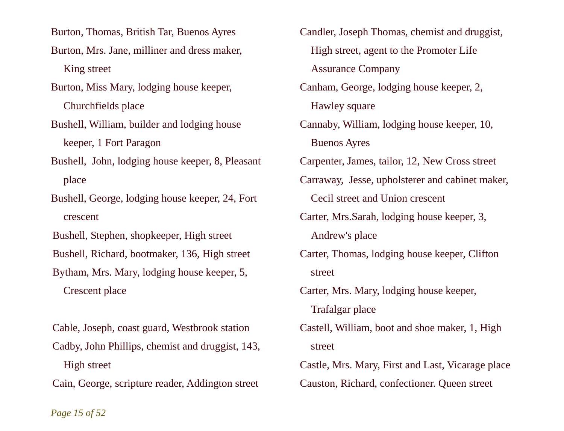Burton, Thomas, British Tar, Buenos Ayres

- Burton, Mrs. Jane, milliner and dress maker, King street
- Burton, Miss Mary, lodging house keeper, Churchfields place
- Bushell, William, builder and lodging house keeper, 1 Fort Paragon
- Bushell, John, lodging house keeper, 8, Pleasant place
- Bushell, George, lodging house keeper, 24, Fort crescent
- Bushell, Stephen, shopkeeper, High street
- Bushell, Richard, bootmaker, 136, High street
- Bytham, Mrs. Mary, lodging house keeper, 5, Crescent place
- Cable, Joseph, coast guard, Westbrook station Cadby, John Phillips, chemist and druggist, 143, High street
- Cain, George, scripture reader, Addington street

Candler, Joseph Thomas, chemist and druggist, High street, agent to the Promoter Life Assurance Company Canham, George, lodging house keeper, 2, Hawley square Cannaby, William, lodging house keeper, 10, Buenos Ayres Carpenter, James, tailor, 12, New Cross street Carraway, Jesse, upholsterer and cabinet maker, Cecil street and Union crescent Carter, Mrs.Sarah, lodging house keeper, 3, Andrew's place Carter, Thomas, lodging house keeper, Clifton street Carter, Mrs. Mary, lodging house keeper, Trafalgar place Castell, William, boot and shoe maker, 1, High street Castle, Mrs. Mary, First and Last, Vicarage place Causton, Richard, confectioner. Queen street

*Page 15 of 52*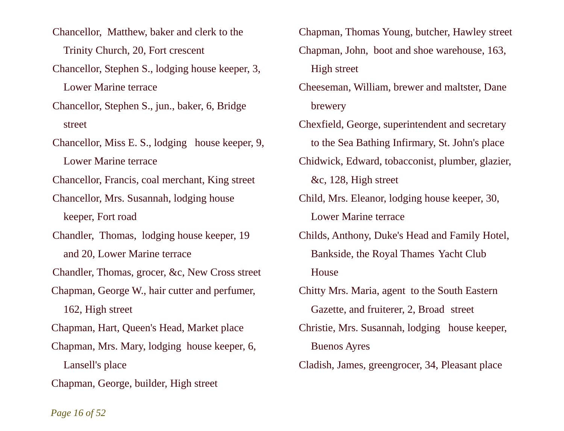- Chancellor, Matthew, baker and clerk to the Trinity Church, 20, Fort crescent
- Chancellor, Stephen S., lodging house keeper, 3, Lower Marine terrace
- Chancellor, Stephen S., jun., baker, 6, Bridge street
- Chancellor, Miss E. S., lodging house keeper, 9, Lower Marine terrace
- Chancellor, Francis, coal merchant, King street
- Chancellor, Mrs. Susannah, lodging house keeper, Fort road
- Chandler, Thomas, lodging house keeper, 19 and 20, Lower Marine terrace
- Chandler, Thomas, grocer, &c, New Cross street
- Chapman, George W., hair cutter and perfumer, 162, High street
- Chapman, Hart, Queen's Head, Market place
- Chapman, Mrs. Mary, lodging house keeper, 6, Lansell's place
- Chapman, George, builder, High street
- Chapman, Thomas Young, butcher, Hawley street Chapman, John, boot and shoe warehouse, 163, High street
- Cheeseman, William, brewer and maltster, Dane brewery
- Chexfield, George, superintendent and secretary to the Sea Bathing Infirmary, St. John's place
- Chidwick, Edward, tobacconist, plumber, glazier, &c, 128, High street
- Child, Mrs. Eleanor, lodging house keeper, 30,
	- Lower Marine terrace
- Childs, Anthony, Duke's Head and Family Hotel, Bankside, the Royal Thames Yacht Club House
- Chitty Mrs. Maria, agent to the South Eastern Gazette, and fruiterer, 2, Broad street Christie, Mrs. Susannah, lodging house keeper, Buenos Ayres
- Cladish, James, greengrocer, 34, Pleasant place

#### *Page 16 of 52*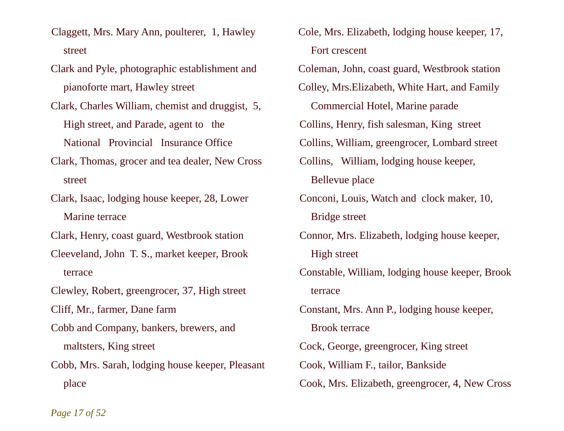- Claggett, Mrs. Mary Ann, poulterer, 1, Hawley street
- Clark and Pyle, photographic establishment and pianoforte mart, Hawley street
- Clark, Charles William, chemist and druggist, 5, High street, and Parade, agent to the National Provincial Insurance Office
- Clark, Thomas, grocer and tea dealer, New Cross street
- Clark, Isaac, lodging house keeper, 28, Lower Marine terrace
- Clark, Henry, coast guard, Westbrook station
- Cleeveland, John T. S., market keeper, Brook terrace
- Clewley, Robert, greengrocer, 37, High street
- Cliff, Mr., farmer, Dane farm
- Cobb and Company, bankers, brewers, and maltsters, King street
- Cobb, Mrs. Sarah, lodging house keeper, Pleasant place
- Cole, Mrs. Elizabeth, lodging house keeper, 17, Fort crescent
- Coleman, John, coast guard, Westbrook station
- Colley, Mrs.Elizabeth, White Hart, and Family
	- Commercial Hotel, Marine parade
- Collins, Henry, fish salesman, King street
- Collins, William, greengrocer, Lombard street
- Collins, William, lodging house keeper, Bellevue place
- Conconi, Louis, Watch and clock maker, 10, Bridge street
- Connor, Mrs. Elizabeth, lodging house keeper, High street
- Constable, William, lodging house keeper, Brook terrace
- Constant, Mrs. Ann P., lodging house keeper, Brook terrace Cock, George, greengrocer, King street
- Cook, William F., tailor, Bankside
- Cook, Mrs. Elizabeth, greengrocer, 4, New Cross

*Page 17 of 52*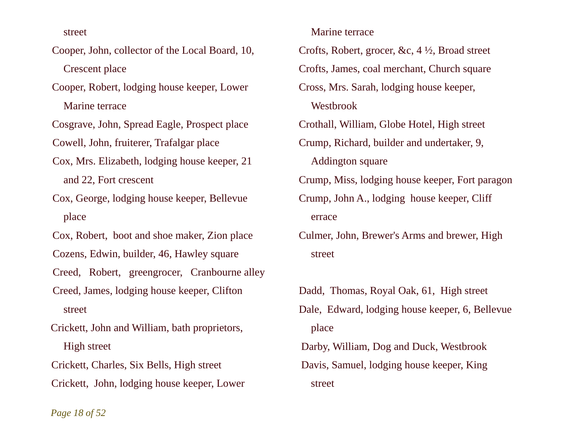street

- Cooper, John, collector of the Local Board, 10, Crescent place
- Cooper, Robert, lodging house keeper, Lower Marine terrace
- Cosgrave, John, Spread Eagle, Prospect place Cowell, John, fruiterer, Trafalgar place
- Cox, Mrs. Elizabeth, lodging house keeper, 21 and 22, Fort crescent
- Cox, George, lodging house keeper, Bellevue place
- Cox, Robert, boot and shoe maker, Zion place
- Cozens, Edwin, builder, 46, Hawley square
- Creed, Robert, greengrocer, Cranbourne alley
- Creed, James, lodging house keeper, Clifton street
- Crickett, John and William, bath proprietors, High street
- Crickett, Charles, Six Bells, High street
- Crickett, John, lodging house keeper, Lower
- Marine terrace
- Crofts, Robert, grocer, &c, 4 ½, Broad street
- Crofts, James, coal merchant, Church square
- Cross, Mrs. Sarah, lodging house keeper,
	- Westbrook
- Crothall, William, Globe Hotel, High street
- Crump, Richard, builder and undertaker, 9,
	- Addington square
- Crump, Miss, lodging house keeper, Fort paragon
- Crump, John A., lodging house keeper, Cliff errace
- Culmer, John, Brewer's Arms and brewer, High street
- Dadd, Thomas, Royal Oak, 61, High street Dale, Edward, lodging house keeper, 6, Bellevue place Darby, William, Dog and Duck, Westbrook Davis, Samuel, lodging house keeper, King
	- street

*Page 18 of 52*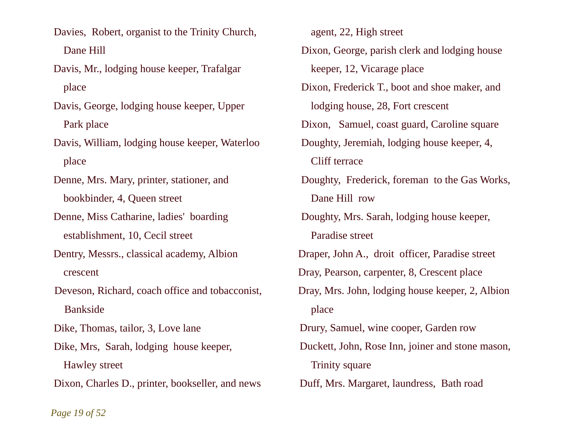Davies, Robert, organist to the Trinity Church, Dane Hill

Davis, Mr., lodging house keeper, Trafalgar place

Davis, George, lodging house keeper, Upper Park place

Davis, William, lodging house keeper, Waterloo place

Denne, Mrs. Mary, printer, stationer, and bookbinder, 4, Queen street

Denne, Miss Catharine, ladies' boarding establishment, 10, Cecil street

Dentry, Messrs., classical academy, Albion crescent

Deveson, Richard, coach office and tobacconist, Bankside

Dike, Thomas, tailor, 3, Love lane

Dike, Mrs, Sarah, lodging house keeper, Hawley street

Dixon, Charles D., printer, bookseller, and news

 agent, 22, High street Dixon, George, parish clerk and lodging house keeper, 12, Vicarage place Dixon, Frederick T., boot and shoe maker, and lodging house, 28, Fort crescent Dixon, Samuel, coast guard, Caroline square Doughty, Jeremiah, lodging house keeper, 4, Cliff terrace Doughty, Frederick, foreman to the Gas Works, Dane Hill row Doughty, Mrs. Sarah, lodging house keeper, Paradise street Draper, John A., droit officer, Paradise street Dray, Pearson, carpenter, 8, Crescent place Dray, Mrs. John, lodging house keeper, 2, Albion place Drury, Samuel, wine cooper, Garden row Duckett, John, Rose Inn, joiner and stone mason, Trinity square Duff, Mrs. Margaret, laundress, Bath road

*Page 19 of 52*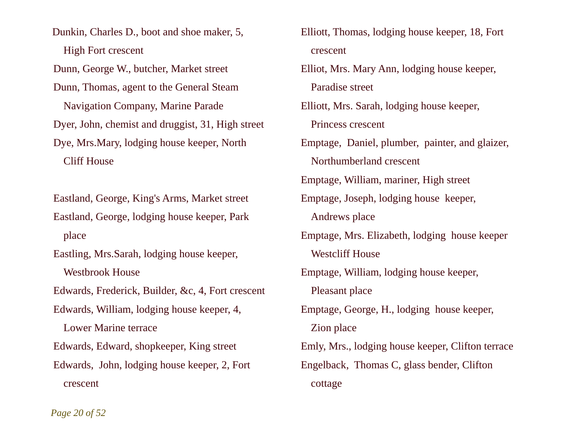Dunkin, Charles D., boot and shoe maker, 5, High Fort crescent Dunn, George W., butcher, Market street Dunn, Thomas, agent to the General Steam Navigation Company, Marine Parade Dyer, John, chemist and druggist, 31, High street Dye, Mrs.Mary, lodging house keeper, North Cliff House

Eastland, George, King's Arms, Market street Eastland, George, lodging house keeper, Park place

Eastling, Mrs.Sarah, lodging house keeper, Westbrook House Edwards, Frederick, Builder, &c, 4, Fort crescent Edwards, William, lodging house keeper, 4, Lower Marine terrace Edwards, Edward, shopkeeper, King street Edwards, John, lodging house keeper, 2, Fort crescent

Elliott, Thomas, lodging house keeper, 18, Fort crescent Elliot, Mrs. Mary Ann, lodging house keeper, Paradise street Elliott, Mrs. Sarah, lodging house keeper, Princess crescent Emptage, Daniel, plumber, painter, and glaizer, Northumberland crescent Emptage, William, mariner, High street Emptage, Joseph, lodging house keeper, Andrews place Emptage, Mrs. Elizabeth, lodging house keeper Westcliff House Emptage, William, lodging house keeper, Pleasant place Emptage, George, H., lodging house keeper, Zion place Emly, Mrs., lodging house keeper, Clifton terrace Engelback, Thomas C, glass bender, Clifton cottage

*Page 20 of 52*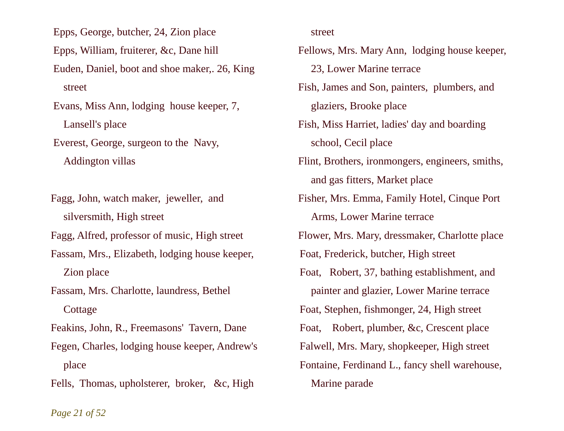Epps, George, butcher, 24, Zion place

Epps, William, fruiterer, &c, Dane hill

Euden, Daniel, boot and shoe maker,. 26, King street

Evans, Miss Ann, lodging house keeper, 7, Lansell's place

Everest, George, surgeon to the Navy,

Addington villas

Fagg, John, watch maker, jeweller, and silversmith, High street

Fagg, Alfred, professor of music, High street

Fassam, Mrs., Elizabeth, lodging house keeper, Zion place

Fassam, Mrs. Charlotte, laundress, Bethel **Cottage** 

Feakins, John, R., Freemasons' Tavern, Dane

Fegen, Charles, lodging house keeper, Andrew's place

Fells, Thomas, upholsterer, broker, &c, High

street

Fellows, Mrs. Mary Ann, lodging house keeper, 23, Lower Marine terrace Fish, James and Son, painters, plumbers, and glaziers, Brooke place Fish, Miss Harriet, ladies' day and boarding school, Cecil place Flint, Brothers, ironmongers, engineers, smiths, and gas fitters, Market place Fisher, Mrs. Emma, Family Hotel, Cinque Port Arms, Lower Marine terrace Flower, Mrs. Mary, dressmaker, Charlotte place Foat, Frederick, butcher, High street Foat, Robert, 37, bathing establishment, and painter and glazier, Lower Marine terrace Foat, Stephen, fishmonger, 24, High street Foat, Robert, plumber, &c, Crescent place Falwell, Mrs. Mary, shopkeeper, High street Fontaine, Ferdinand L., fancy shell warehouse, Marine parade

*Page 21 of 52*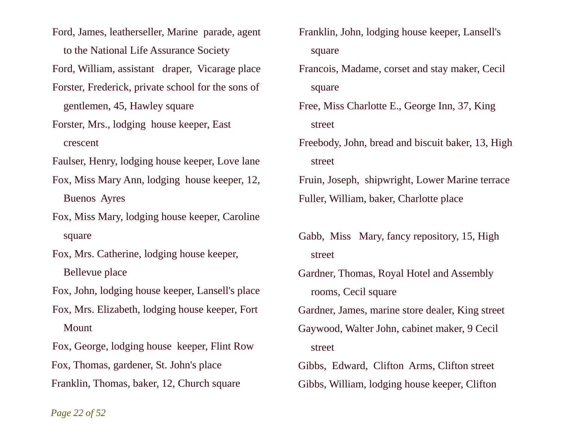Ford, James, leatherseller, Marine parade, agent to the National Life Assurance Society

Ford, William, assistant draper, Vicarage place

- Forster, Frederick, private school for the sons of gentlemen, 45, Hawley square
- Forster, Mrs., lodging house keeper, East crescent

Faulser, Henry, lodging house keeper, Love lane

- Fox, Miss Mary Ann, lodging house keeper, 12, Buenos Ayres
- Fox, Miss Mary, lodging house keeper, Caroline square
- Fox, Mrs. Catherine, lodging house keeper, Bellevue place

Fox, John, lodging house keeper, Lansell's place

Fox, Mrs. Elizabeth, lodging house keeper, Fort **Mount** 

Fox, George, lodging house keeper, Flint Row Fox, Thomas, gardener, St. John's place Franklin, Thomas, baker, 12, Church square

- Franklin, John, lodging house keeper, Lansell's square
- Francois, Madame, corset and stay maker, Cecil square
- Free, Miss Charlotte E., George Inn, 37, King street
- Freebody, John, bread and biscuit baker, 13, High street

Fruin, Joseph, shipwright, Lower Marine terrace Fuller, William, baker, Charlotte place

Gabb, Miss Mary, fancy repository, 15, High street

Gardner, Thomas, Royal Hotel and Assembly rooms, Cecil square Gardner, James, marine store dealer, King street Gaywood, Walter John, cabinet maker, 9 Cecil street Gibbs, Edward, Clifton Arms, Clifton street Gibbs, William, lodging house keeper, Clifton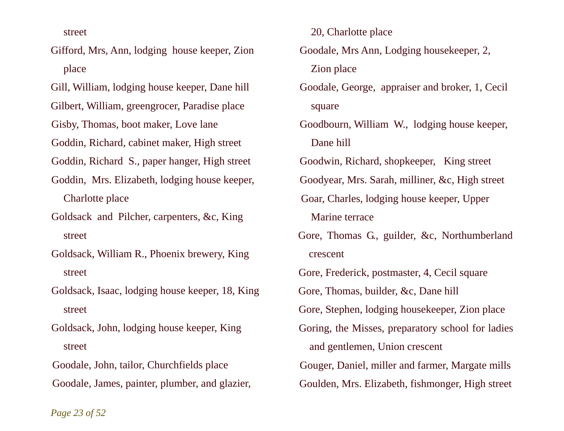street

Gifford, Mrs, Ann, lodging house keeper, Zion place

Gill, William, lodging house keeper, Dane hill

Gilbert, William, greengrocer, Paradise place

Gisby, Thomas, boot maker, Love lane

Goddin, Richard, cabinet maker, High street

Goddin, Richard S., paper hanger, High street

Goddin, Mrs. Elizabeth, lodging house keeper, Charlotte place

Goldsack and Pilcher, carpenters, &c, King street

Goldsack, William R., Phoenix brewery, King street

Goldsack, Isaac, lodging house keeper, 18, King street

Goldsack, John, lodging house keeper, King street

Goodale, John, tailor, Churchfields place Goodale, James, painter, plumber, and glazier, 20, Charlotte place

Goodale, Mrs Ann, Lodging housekeeper, 2, Zion place

Goodale, George, appraiser and broker, 1, Cecil square

Goodbourn, William W., lodging house keeper, Dane hill

Goodwin, Richard, shopkeeper, King street

Goodyear, Mrs. Sarah, milliner, &c, High street

- Goar, Charles, lodging house keeper, Upper Marine terrace
- Gore, Thomas G., guilder, &c, Northumberland crescent

Gore, Frederick, postmaster, 4, Cecil square

Gore, Thomas, builder, &c, Dane hill

Gore, Stephen, lodging housekeeper, Zion place

Goring, the Misses, preparatory school for ladies and gentlemen, Union crescent

Gouger, Daniel, miller and farmer, Margate mills

Goulden, Mrs. Elizabeth, fishmonger, High street

*Page 23 of 52*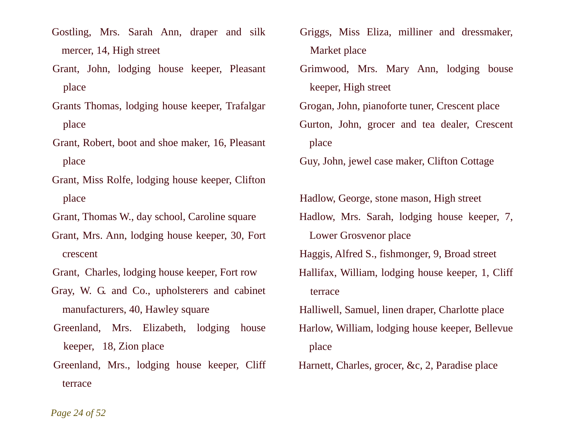Gostling, Mrs. Sarah Ann, draper and silk mercer, 14, High street

Grant, John, lodging house keeper, Pleasant place

Grants Thomas, lodging house keeper, Trafalgar place

Grant, Robert, boot and shoe maker, 16, Pleasant place

Grant, Miss Rolfe, lodging house keeper, Clifton place

Grant, Thomas W., day school, Caroline square

Grant, Mrs. Ann, lodging house keeper, 30, Fort crescent

Grant, Charles, lodging house keeper, Fort row

Gray, W. G. and Co., upholsterers and cabinet manufacturers, 40, Hawley square

Greenland, Mrs. Elizabeth, lodging house keeper, 18, Zion place

Greenland, Mrs., lodging house keeper, Cliff terrace

Griggs, Miss Eliza, milliner and dressmaker, Market place

Grimwood, Mrs. Mary Ann, lodging bouse keeper, High street

Grogan, John, pianoforte tuner, Crescent place

Gurton, John, grocer and tea dealer, Crescent place

Guy, John, jewel case maker, Clifton Cottage

Hadlow, George, stone mason, High street Hadlow, Mrs. Sarah, lodging house keeper, 7, Lower Grosvenor place Haggis, Alfred S., fishmonger, 9, Broad street Hallifax, William, lodging house keeper, 1, Cliff terrace Halliwell, Samuel, linen draper, Charlotte place Harlow, William, lodging house keeper, Bellevue

Harnett, Charles, grocer, &c, 2, Paradise place

place

*Page 24 of 52*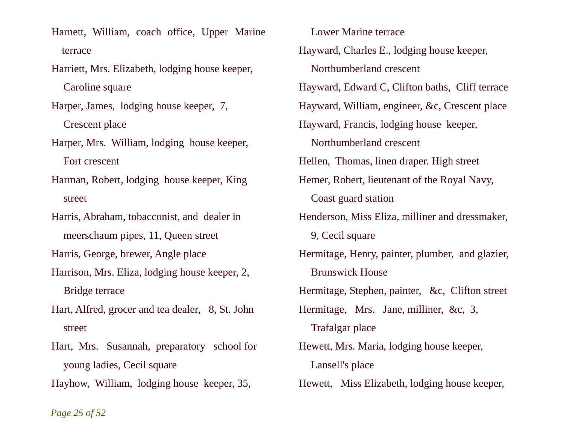Harnett, William, coach office, Upper Marine terrace

Harriett, Mrs. Elizabeth, lodging house keeper, Caroline square

Harper, James, lodging house keeper, 7,

Crescent place

Harper, Mrs. William, lodging house keeper, Fort crescent

Harman, Robert, lodging house keeper, King street

Harris, Abraham, tobacconist, and dealer in meerschaum pipes, 11, Queen street

Harris, George, brewer, Angle place

Harrison, Mrs. Eliza, lodging house keeper, 2, Bridge terrace

Hart, Alfred, grocer and tea dealer, 8, St. John street

Hart, Mrs. Susannah, preparatory school for young ladies, Cecil square

Hayhow, William, lodging house keeper, 35,

 Lower Marine terrace Hayward, Charles E., lodging house keeper, Northumberland crescent Hayward, Edward C, Clifton baths, Cliff terrace Hayward, William, engineer, &c, Crescent place Hayward, Francis, lodging house keeper, Northumberland crescent Hellen, Thomas, linen draper. High street Hemer, Robert, lieutenant of the Royal Navy, Coast guard station Henderson, Miss Eliza, milliner and dressmaker, 9. Cecil square Hermitage, Henry, painter, plumber, and glazier, Brunswick House Hermitage, Stephen, painter, &c, Clifton street Hermitage, Mrs. Jane, milliner, &c, 3, Trafalgar place Hewett, Mrs. Maria, lodging house keeper, Lansell's place Hewett, Miss Elizabeth, lodging house keeper,

*Page 25 of 52*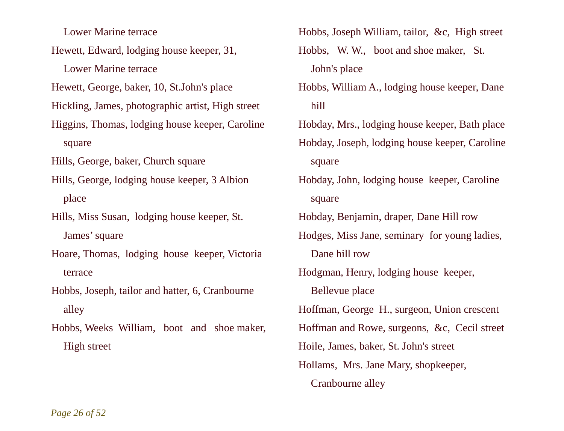Lower Marine terrace

Hewett, Edward, lodging house keeper, 31,

Lower Marine terrace

Hewett, George, baker, 10, St.John's place

Hickling, James, photographic artist, High street

Higgins, Thomas, lodging house keeper, Caroline square

Hills, George, baker, Church square

Hills, George, lodging house keeper, 3 Albion place

Hills, Miss Susan, lodging house keeper, St. James' square

Hoare, Thomas, lodging house keeper, Victoria terrace

Hobbs, Joseph, tailor and hatter, 6, Cranbourne alley

Hobbs, Weeks William, boot and shoe maker, High street

Hobbs, Joseph William, tailor, &c, High street Hobbs, W. W., boot and shoe maker, St. John's place

- Hobbs, William A., lodging house keeper, Dane hill
- Hobday, Mrs., lodging house keeper, Bath place Hobday, Joseph, lodging house keeper, Caroline square
- Hobday, John, lodging house keeper, Caroline square

Hobday, Benjamin, draper, Dane Hill row

Hodges, Miss Jane, seminary for young ladies, Dane hill row

Hodgman, Henry, lodging house keeper,

Bellevue place

Hoffman, George H., surgeon, Union crescent

Hoffman and Rowe, surgeons, &c, Cecil street

Hoile, James, baker, St. John's street

Hollams, Mrs. Jane Mary, shopkeeper, Cranbourne alley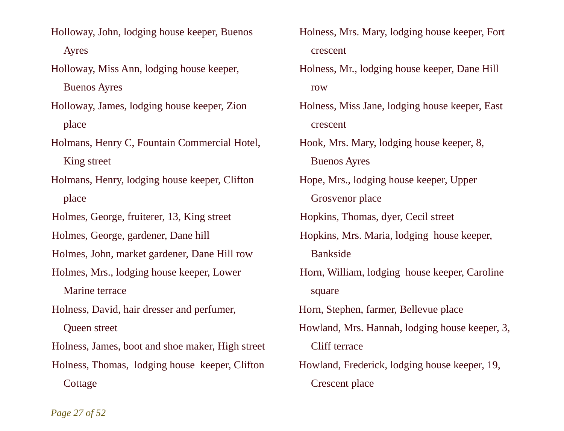Holloway, John, lodging house keeper, Buenos Ayres

Holloway, Miss Ann, lodging house keeper,

Buenos Ayres

Holloway, James, lodging house keeper, Zion place

Holmans, Henry C, Fountain Commercial Hotel, King street

Holmans, Henry, lodging house keeper, Clifton place

Holmes, George, fruiterer, 13, King street

Holmes, George, gardener, Dane hill

Holmes, John, market gardener, Dane Hill row

Holmes, Mrs., lodging house keeper, Lower

Marine terrace

Holness, David, hair dresser and perfumer, Queen street

Holness, James, boot and shoe maker, High street Holness, Thomas, lodging house keeper, Clifton **Cottage** 

Holness, Mrs. Mary, lodging house keeper, Fort crescent

Holness, Mr., lodging house keeper, Dane Hill row

Holness, Miss Jane, lodging house keeper, East crescent

Hook, Mrs. Mary, lodging house keeper, 8, Buenos Ayres

Hope, Mrs., lodging house keeper, Upper Grosvenor place

Hopkins, Thomas, dyer, Cecil street

Hopkins, Mrs. Maria, lodging house keeper, Bankside

Horn, William, lodging house keeper, Caroline square

Horn, Stephen, farmer, Bellevue place

Howland, Mrs. Hannah, lodging house keeper, 3, Cliff terrace

Howland, Frederick, lodging house keeper, 19, Crescent place

*Page 27 of 52*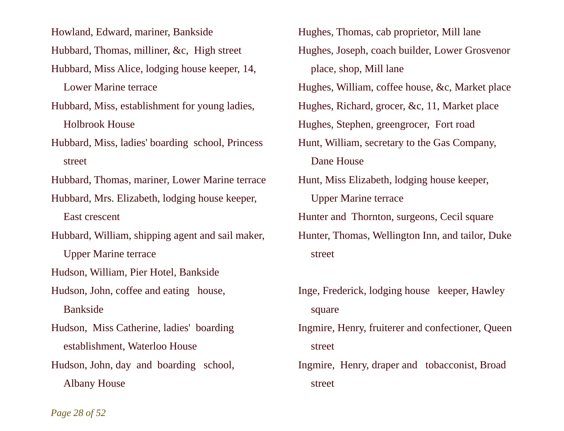Howland, Edward, mariner, Bankside Hubbard, Thomas, milliner, &c, High street Hubbard, Miss Alice, lodging house keeper, 14, Lower Marine terrace

Hubbard, Miss, establishment for young ladies, Holbrook House

Hubbard, Miss, ladies' boarding school, Princess street

Hubbard, Thomas, mariner, Lower Marine terrace

Hubbard, Mrs. Elizabeth, lodging house keeper, East crescent

Hubbard, William, shipping agent and sail maker, Upper Marine terrace

Hudson, William, Pier Hotel, Bankside

Hudson, John, coffee and eating house, Bankside

Hudson, Miss Catherine, ladies' boarding establishment, Waterloo House

Hudson, John, day and boarding school, Albany House

Hughes, Thomas, cab proprietor, Mill lane Hughes, Joseph, coach builder, Lower Grosvenor place, shop, Mill lane Hughes, William, coffee house, &c, Market place Hughes, Richard, grocer, &c, 11, Market place Hughes, Stephen, greengrocer, Fort road Hunt, William, secretary to the Gas Company, Dane House Hunt, Miss Elizabeth, lodging house keeper, Upper Marine terrace Hunter and Thornton, surgeons, Cecil square Hunter, Thomas, Wellington Inn, and tailor, Duke street

Inge, Frederick, lodging house keeper, Hawley square

Ingmire, Henry, fruiterer and confectioner, Queen street

Ingmire, Henry, draper and tobacconist, Broad street

*Page 28 of 52*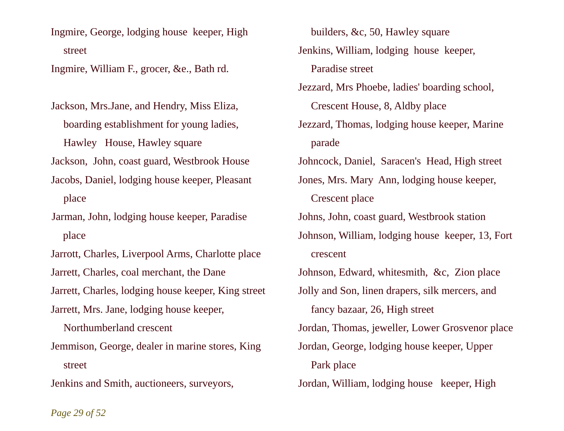Ingmire, George, lodging house keeper, High street

Ingmire, William F., grocer, &e., Bath rd.

Jackson, Mrs.Jane, and Hendry, Miss Eliza, boarding establishment for young ladies, Hawley House, Hawley square

Jackson, John, coast guard, Westbrook House

- Jacobs, Daniel, lodging house keeper, Pleasant place
- Jarman, John, lodging house keeper, Paradise place

Jarrott, Charles, Liverpool Arms, Charlotte place Jarrett, Charles, coal merchant, the Dane

Jarrett, Charles, lodging house keeper, King street

Jarrett, Mrs. Jane, lodging house keeper,

Northumberland crescent

Jemmison, George, dealer in marine stores, King street

Jenkins and Smith, auctioneers, surveyors,

 builders, &c, 50, Hawley square Jenkins, William, lodging house keeper, Paradise street

- Jezzard, Mrs Phoebe, ladies' boarding school, Crescent House, 8, Aldby place Jezzard, Thomas, lodging house keeper, Marine
	- parade

Johncock, Daniel, Saracen's Head, High street

Jones, Mrs. Mary Ann, lodging house keeper, Crescent place

Johns, John, coast guard, Westbrook station

Johnson, William, lodging house keeper, 13, Fort crescent

Johnson, Edward, whitesmith, &c, Zion place Jolly and Son, linen drapers, silk mercers, and fancy bazaar, 26, High street Jordan, Thomas, jeweller, Lower Grosvenor place Jordan, George, lodging house keeper, Upper Park place Jordan, William, lodging house keeper, High

*Page 29 of 52*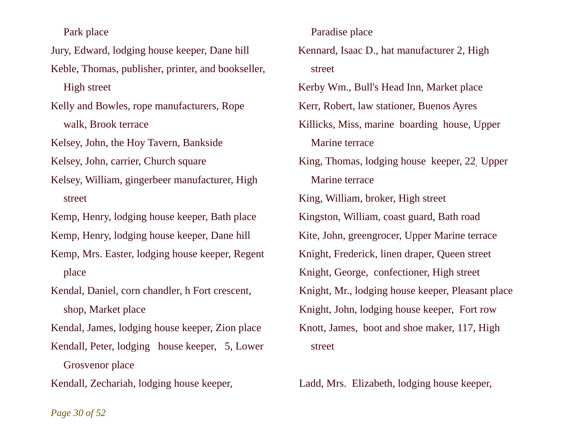Park place

Jury, Edward, lodging house keeper, Dane hill

Keble, Thomas, publisher, printer, and bookseller,

High street

Kelly and Bowles, rope manufacturers, Rope walk, Brook terrace

Kelsey, John, the Hoy Tavern, Bankside

Kelsey, John, carrier, Church square

Kelsey, William, gingerbeer manufacturer, High street

Kemp, Henry, lodging house keeper, Bath place

Kemp, Henry, lodging house keeper, Dane hill

Kemp, Mrs. Easter, lodging house keeper, Regent place

Kendal, Daniel, corn chandler, h Fort crescent, shop, Market place

Kendal, James, lodging house keeper, Zion place

Kendall, Peter, lodging house keeper, 5, Lower Grosvenor place

Kendall, Zechariah, lodging house keeper,

Paradise place

Kennard, Isaac D., hat manufacturer 2, High street

Kerby Wm., Bull's Head Inn, Market place

Kerr, Robert, law stationer, Buenos Ayres

Killicks, Miss, marine boarding house, Upper Marine terrace

King, Thomas, lodging house keeper, 22, Upper Marine terrace

King, William, broker, High street Kingston, William, coast guard, Bath road Kite, John, greengrocer, Upper Marine terrace Knight, Frederick, linen draper, Queen street Knight, George, confectioner, High street Knight, Mr., lodging house keeper, Pleasant place Knight, John, lodging house keeper, Fort row Knott, James, boot and shoe maker, 117, High street

Ladd, Mrs. Elizabeth, lodging house keeper,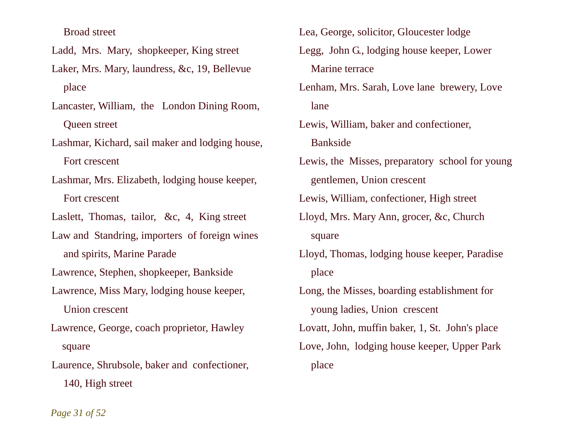Broad street

- Ladd, Mrs. Mary, shopkeeper, King street
- Laker, Mrs. Mary, laundress, &c, 19, Bellevue place
- Lancaster, William, the London Dining Room, Queen street
- Lashmar, Kichard, sail maker and lodging house, Fort crescent
- Lashmar, Mrs. Elizabeth, lodging house keeper, Fort crescent
- Laslett, Thomas, tailor, &c, 4, King street
- Law and Standring, importers of foreign wines and spirits, Marine Parade
- Lawrence, Stephen, shopkeeper, Bankside
- Lawrence, Miss Mary, lodging house keeper, Union crescent
- Lawrence, George, coach proprietor, Hawley square
- Laurence, Shrubsole, baker and confectioner, 140, High street
- Lea, George, solicitor, Gloucester lodge
- Legg, John G., lodging house keeper, Lower Marine terrace
- Lenham, Mrs. Sarah, Love lane brewery, Love lane
- Lewis, William, baker and confectioner, Bankside
- Lewis, the Misses, preparatory school for young gentlemen, Union crescent
- Lewis, William, confectioner, High street
- Lloyd, Mrs. Mary Ann, grocer, &c, Church square
- Lloyd, Thomas, lodging house keeper, Paradise place
- Long, the Misses, boarding establishment for young ladies, Union crescent Lovatt, John, muffin baker, 1, St. John's place Love, John, lodging house keeper, Upper Park place

*Page 31 of 52*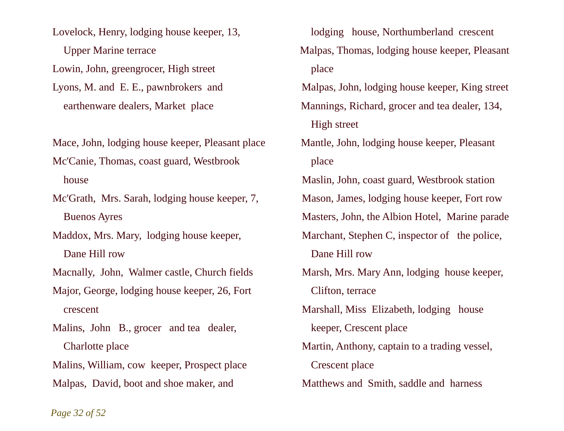Lovelock, Henry, lodging house keeper, 13, Upper Marine terrace Lowin, John, greengrocer, High street Lyons, M. and E. E., pawnbrokers and earthenware dealers, Market place

Mace, John, lodging house keeper, Pleasant place

Mc'Canie, Thomas, coast guard, Westbrook house

Mc'Grath, Mrs. Sarah, lodging house keeper, 7, Buenos Ayres

Maddox, Mrs. Mary, lodging house keeper, Dane Hill row

Macnally, John, Walmer castle, Church fields

Major, George, lodging house keeper, 26, Fort crescent

Malins, John B., grocer and tea dealer, Charlotte place

Malins, William, cow keeper, Prospect place Malpas, David, boot and shoe maker, and

 lodging house, Northumberland crescent Malpas, Thomas, lodging house keeper, Pleasant place

Malpas, John, lodging house keeper, King street Mannings, Richard, grocer and tea dealer, 134, High street

 Mantle, John, lodging house keeper, Pleasant place

Maslin, John, coast guard, Westbrook station Mason, James, lodging house keeper, Fort row Masters, John, the Albion Hotel, Marine parade Marchant, Stephen C, inspector of the police, Dane Hill row

Marsh, Mrs. Mary Ann, lodging house keeper, Clifton, terrace

Marshall, Miss Elizabeth, lodging house keeper, Crescent place

Martin, Anthony, captain to a trading vessel, Crescent place

Matthews and Smith, saddle and harness

*Page 32 of 52*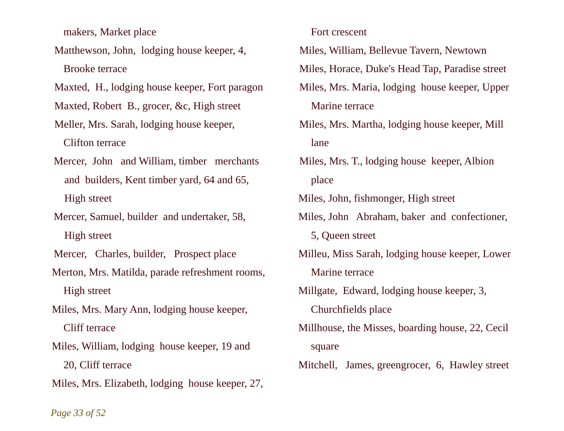makers, Market place

Matthewson, John, lodging house keeper, 4, Brooke terrace

Maxted, H., lodging house keeper, Fort paragon

Maxted, Robert B., grocer, &c, High street

- Meller, Mrs. Sarah, lodging house keeper, Clifton terrace
- Mercer, John and William, timber merchants and builders, Kent timber yard, 64 and 65, High street

Mercer, Samuel, builder and undertaker, 58, High street

Mercer, Charles, builder, Prospect place

Merton, Mrs. Matilda, parade refreshment rooms, High street

Miles, Mrs. Mary Ann, lodging house keeper, Cliff terrace

Miles, William, lodging house keeper, 19 and 20, Cliff terrace

Miles, Mrs. Elizabeth, lodging house keeper, 27,

Fort crescent

Miles, William, Bellevue Tavern, Newtown

Miles, Horace, Duke's Head Tap, Paradise street

- Miles, Mrs. Maria, lodging house keeper, Upper Marine terrace
- Miles, Mrs. Martha, lodging house keeper, Mill lane
- Miles, Mrs. T., lodging house keeper, Albion place

Miles, John, fishmonger, High street

Miles, John Abraham, baker and confectioner,

5, Queen street

Milleu, Miss Sarah, lodging house keeper, Lower Marine terrace

Millgate, Edward, lodging house keeper, 3,

Churchfields place

Millhouse, the Misses, boarding house, 22, Cecil square

Mitchell, James, greengrocer, 6, Hawley street

### *Page 33 of 52*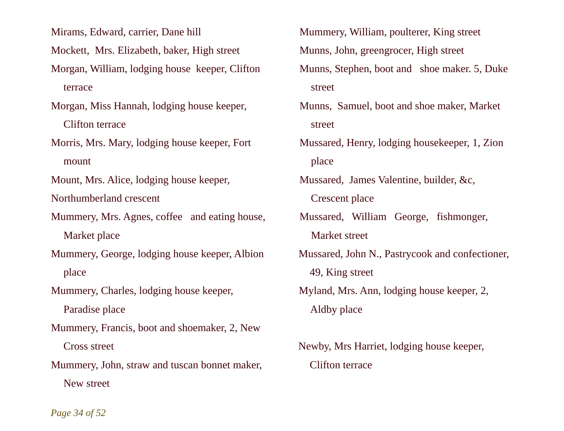Mirams, Edward, carrier, Dane hill

Mockett, Mrs. Elizabeth, baker, High street

- Morgan, William, lodging house keeper, Clifton terrace
- Morgan, Miss Hannah, lodging house keeper, Clifton terrace
- Morris, Mrs. Mary, lodging house keeper, Fort mount

Mount, Mrs. Alice, lodging house keeper,

Northumberland crescent

- Mummery, Mrs. Agnes, coffee and eating house, Market place
- Mummery, George, lodging house keeper, Albion place

Mummery, Charles, lodging house keeper,

Paradise place

- Mummery, Francis, boot and shoemaker, 2, New Cross street
- Mummery, John, straw and tuscan bonnet maker, New street
- Mummery, William, poulterer, King street Munns, John, greengrocer, High street Munns, Stephen, boot and shoe maker. 5, Duke street
- Munns, Samuel, boot and shoe maker, Market street
- Mussared, Henry, lodging housekeeper, 1, Zion place
- Mussared, James Valentine, builder, &c, Crescent place
- Mussared, William George, fishmonger, Market street
- Mussared, John N., Pastrycook and confectioner, 49, King street
- Myland, Mrs. Ann, lodging house keeper, 2, Aldby place
- Newby, Mrs Harriet, lodging house keeper, Clifton terrace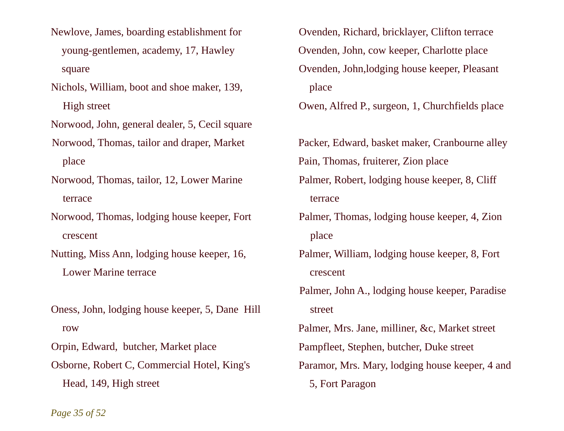- Newlove, James, boarding establishment for young-gentlemen, academy, 17, Hawley square
- Nichols, William, boot and shoe maker, 139, High street

Norwood, John, general dealer, 5, Cecil square

- Norwood, Thomas, tailor and draper, Market place
- Norwood, Thomas, tailor, 12, Lower Marine terrace
- Norwood, Thomas, lodging house keeper, Fort crescent
- Nutting, Miss Ann, lodging house keeper, 16, Lower Marine terrace
- Oness, John, lodging house keeper, 5, Dane Hill row

Orpin, Edward, butcher, Market place

Osborne, Robert C, Commercial Hotel, King's Head, 149, High street

- Ovenden, Richard, bricklayer, Clifton terrace Ovenden, John, cow keeper, Charlotte place Ovenden, John,lodging house keeper, Pleasant place
- Owen, Alfred P., surgeon, 1, Churchfields place
- Packer, Edward, basket maker, Cranbourne alley Pain, Thomas, fruiterer, Zion place
- Palmer, Robert, lodging house keeper, 8, Cliff terrace
- Palmer, Thomas, lodging house keeper, 4, Zion place
- Palmer, William, lodging house keeper, 8, Fort crescent
- Palmer, John A., lodging house keeper, Paradise street
- Palmer, Mrs. Jane, milliner, &c, Market street Pampfleet, Stephen, butcher, Duke street Paramor, Mrs. Mary, lodging house keeper, 4 and 5, Fort Paragon

*Page 35 of 52*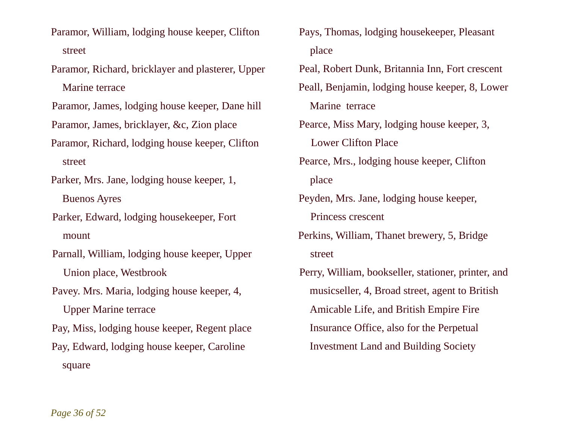- Paramor, William, lodging house keeper, Clifton street
- Paramor, Richard, bricklayer and plasterer, Upper Marine terrace

Paramor, James, lodging house keeper, Dane hill

Paramor, James, bricklayer, &c, Zion place

- Paramor, Richard, lodging house keeper, Clifton street
- Parker, Mrs. Jane, lodging house keeper, 1, Buenos Ayres

Parker, Edward, lodging housekeeper, Fort mount

Parnall, William, lodging house keeper, Upper Union place, Westbrook

Pavey. Mrs. Maria, lodging house keeper, 4,

Upper Marine terrace

Pay, Miss, lodging house keeper, Regent place Pay, Edward, lodging house keeper, Caroline square

- Pays, Thomas, lodging housekeeper, Pleasant place
- Peal, Robert Dunk, Britannia Inn, Fort crescent Peall, Benjamin, lodging house keeper, 8, Lower Marine terrace
- Pearce, Miss Mary, lodging house keeper, 3, Lower Clifton Place
- Pearce, Mrs., lodging house keeper, Clifton place
- Peyden, Mrs. Jane, lodging house keeper, Princess crescent
- Perkins, William, Thanet brewery, 5, Bridge street
- Perry, William, bookseller, stationer, printer, and musicseller, 4, Broad street, agent to British Amicable Life, and British Empire Fire Insurance Office, also for the Perpetual Investment Land and Building Society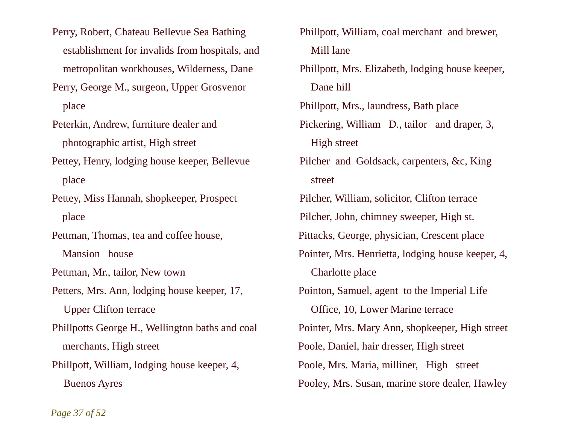Perry, Robert, Chateau Bellevue Sea Bathing establishment for invalids from hospitals, and metropolitan workhouses, Wilderness, Dane

Perry, George M., surgeon, Upper Grosvenor place

Peterkin, Andrew, furniture dealer and photographic artist, High street

Pettey, Henry, lodging house keeper, Bellevue place

Pettey, Miss Hannah, shopkeeper, Prospect place

Pettman, Thomas, tea and coffee house,

Mansion house

Pettman, Mr., tailor, New town

Petters, Mrs. Ann, lodging house keeper, 17,

Upper Clifton terrace

Phillpotts George H., Wellington baths and coal merchants, High street

Phillpott, William, lodging house keeper, 4, Buenos Ayres

Phillpott, William, coal merchant and brewer, Mill lane Phillpott, Mrs. Elizabeth, lodging house keeper, Dane hill Phillpott, Mrs., laundress, Bath place Pickering, William D., tailor and draper, 3, High street Pilcher and Goldsack, carpenters, &c, King street Pilcher, William, solicitor, Clifton terrace Pilcher, John, chimney sweeper, High st. Pittacks, George, physician, Crescent place Pointer, Mrs. Henrietta, lodging house keeper, 4, Charlotte place Pointon, Samuel, agent to the Imperial Life Office, 10, Lower Marine terrace Pointer, Mrs. Mary Ann, shopkeeper, High street Poole, Daniel, hair dresser, High street Poole, Mrs. Maria, milliner, High street Pooley, Mrs. Susan, marine store dealer, Hawley

*Page 37 of 52*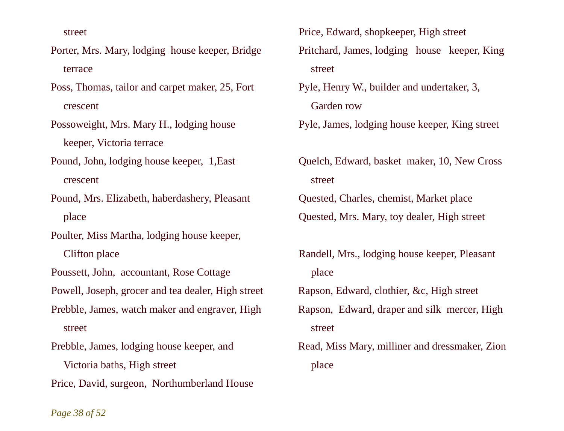street

- Porter, Mrs. Mary, lodging house keeper, Bridge terrace
- Poss, Thomas, tailor and carpet maker, 25, Fort crescent
- Possoweight, Mrs. Mary H., lodging house keeper, Victoria terrace
- Pound, John, lodging house keeper, 1,East crescent
- Pound, Mrs. Elizabeth, haberdashery, Pleasant place
- Poulter, Miss Martha, lodging house keeper, Clifton place
- Poussett, John, accountant, Rose Cottage
- Powell, Joseph, grocer and tea dealer, High street
- Prebble, James, watch maker and engraver, High street
- Prebble, James, lodging house keeper, and Victoria baths, High street
- Price, David, surgeon, Northumberland House
- Price, Edward, shopkeeper, High street Pritchard, James, lodging house keeper, King street
- Pyle, Henry W., builder and undertaker, 3, Garden row
- Pyle, James, lodging house keeper, King street
- Quelch, Edward, basket maker, 10, New Cross street Quested, Charles, chemist, Market place
- Quested, Mrs. Mary, toy dealer, High street
- Randell, Mrs., lodging house keeper, Pleasant place Rapson, Edward, clothier, &c, High street Rapson, Edward, draper and silk mercer, High

street

Read, Miss Mary, milliner and dressmaker, Zion place

*Page 38 of 52*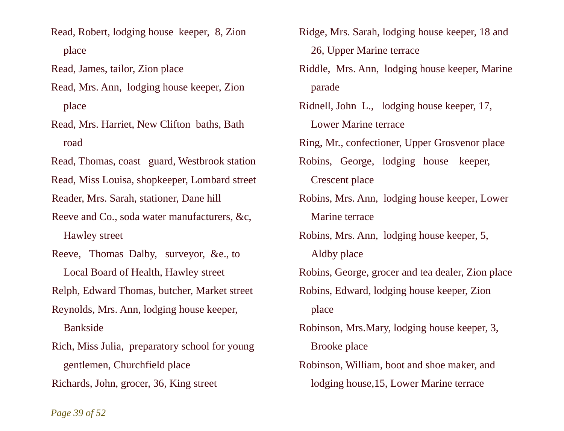Read, Robert, lodging house keeper, 8, Zion place

Read, James, tailor, Zion place

Read, Mrs. Ann, lodging house keeper, Zion place

Read, Mrs. Harriet, New Clifton baths, Bath road

Read, Thomas, coast guard, Westbrook station

Read, Miss Louisa, shopkeeper, Lombard street

Reader, Mrs. Sarah, stationer, Dane hill

Reeve and Co., soda water manufacturers, &c, Hawley street

Reeve, Thomas Dalby, surveyor, &e., to Local Board of Health, Hawley street

Relph, Edward Thomas, butcher, Market street

Reynolds, Mrs. Ann, lodging house keeper, Bankside

Rich, Miss Julia, preparatory school for young gentlemen, Churchfield place Richards, John, grocer, 36, King street

Ridge, Mrs. Sarah, lodging house keeper, 18 and 26, Upper Marine terrace

Riddle, Mrs. Ann, lodging house keeper, Marine parade

Ridnell, John L., lodging house keeper, 17, Lower Marine terrace Ring, Mr., confectioner, Upper Grosvenor place Robins, George, lodging house keeper, Crescent place Robins, Mrs. Ann, lodging house keeper, Lower

Marine terrace

Robins, Mrs. Ann, lodging house keeper, 5, Aldby place

Robins, George, grocer and tea dealer, Zion place

Robins, Edward, lodging house keeper, Zion place

Robinson, Mrs.Mary, lodging house keeper, 3, Brooke place

Robinson, William, boot and shoe maker, and lodging house,15, Lower Marine terrace

*Page 39 of 52*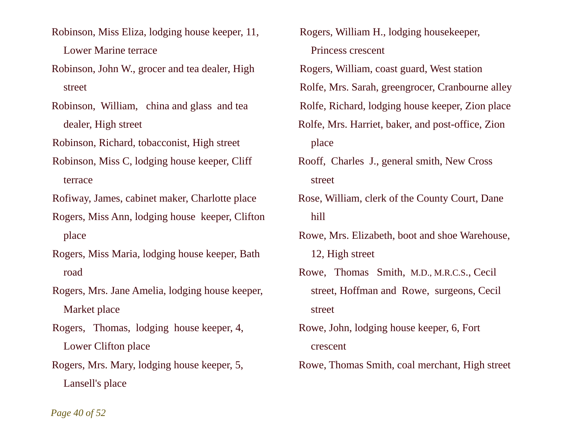- Robinson, Miss Eliza, lodging house keeper, 11, Lower Marine terrace
- Robinson, John W., grocer and tea dealer, High street
- Robinson, William, china and glass and tea dealer, High street
- Robinson, Richard, tobacconist, High street
- Robinson, Miss C, lodging house keeper, Cliff terrace

Rofiway, James, cabinet maker, Charlotte place

- Rogers, Miss Ann, lodging house keeper, Clifton place
- Rogers, Miss Maria, lodging house keeper, Bath road
- Rogers, Mrs. Jane Amelia, lodging house keeper, Market place
- Rogers, Thomas, lodging house keeper, 4, Lower Clifton place
- Rogers, Mrs. Mary, lodging house keeper, 5, Lansell's place
- Rogers, William H., lodging housekeeper, Princess crescent
- Rogers, William, coast guard, West station
- Rolfe, Mrs. Sarah, greengrocer, Cranbourne alley
- Rolfe, Richard, lodging house keeper, Zion place
- Rolfe, Mrs. Harriet, baker, and post-office, Zion place
- Rooff, Charles J., general smith, New Cross street
- Rose, William, clerk of the County Court, Dane hill
- Rowe, Mrs. Elizabeth, boot and shoe Warehouse, 12, High street
- Rowe, Thomas Smith, M.D., M.R.C.S., Cecil street, Hoffman and Rowe, surgeons, Cecil street
- Rowe, John, lodging house keeper, 6, Fort crescent
- Rowe, Thomas Smith, coal merchant, High street

*Page 40 of 52*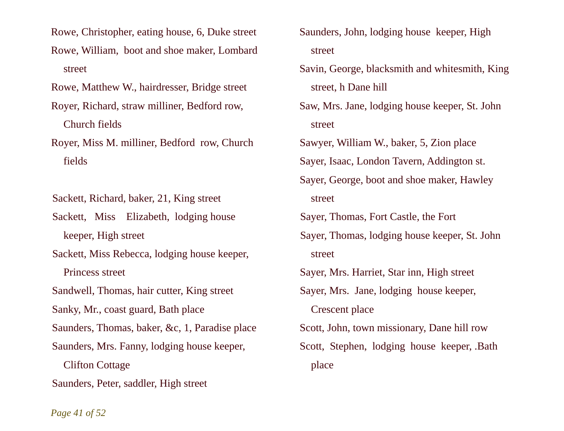Rowe, Christopher, eating house, 6, Duke street Rowe, William, boot and shoe maker, Lombard street

Rowe, Matthew W., hairdresser, Bridge street

- Royer, Richard, straw milliner, Bedford row, Church fields
- Royer, Miss M. milliner, Bedford row, Church fields

Sackett, Richard, baker, 21, King street

Sackett, Miss Elizabeth, lodging house keeper, High street

Sackett, Miss Rebecca, lodging house keeper, Princess street

Sandwell, Thomas, hair cutter, King street

Sanky, Mr., coast guard, Bath place

Saunders, Thomas, baker, &c, 1, Paradise place

Saunders, Mrs. Fanny, lodging house keeper,

 Clifton Cottage Saunders, Peter, saddler, High street

- Saunders, John, lodging house keeper, High street
- Savin, George, blacksmith and whitesmith, King street, h Dane hill
- Saw, Mrs. Jane, lodging house keeper, St. John street

Sawyer, William W., baker, 5, Zion place

Sayer, Isaac, London Tavern, Addington st.

Sayer, George, boot and shoe maker, Hawley street

Sayer, Thomas, Fort Castle, the Fort

Sayer, Thomas, lodging house keeper, St. John street

Sayer, Mrs. Harriet, Star inn, High street

Sayer, Mrs. Jane, lodging house keeper,

Crescent place

Scott, John, town missionary, Dane hill row Scott, Stephen, lodging house keeper, .Bath place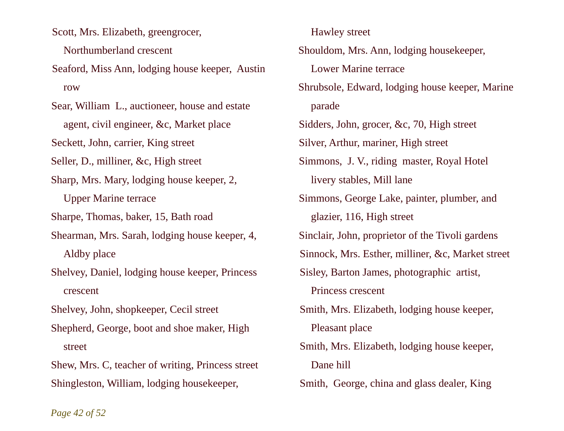Scott, Mrs. Elizabeth, greengrocer,

Northumberland crescent

Seaford, Miss Ann, lodging house keeper, Austin row

Sear, William L., auctioneer, house and estate agent, civil engineer, &c, Market place

Seckett, John, carrier, King street

Seller, D., milliner, &c, High street

Sharp, Mrs. Mary, lodging house keeper, 2,

Upper Marine terrace

Sharpe, Thomas, baker, 15, Bath road

Shearman, Mrs. Sarah, lodging house keeper, 4, Aldby place

Shelvey, Daniel, lodging house keeper, Princess crescent

Shelvey, John, shopkeeper, Cecil street

Shepherd, George, boot and shoe maker, High street

Shew, Mrs. C, teacher of writing, Princess street Shingleston, William, lodging housekeeper,

 Hawley street Shouldom, Mrs. Ann, lodging housekeeper, Lower Marine terrace Shrubsole, Edward, lodging house keeper, Marine parade Sidders, John, grocer, &c, 70, High street Silver, Arthur, mariner, High street Simmons, J. V., riding master, Royal Hotel livery stables, Mill lane Simmons, George Lake, painter, plumber, and glazier, 116, High street Sinclair, John, proprietor of the Tivoli gardens Sinnock, Mrs. Esther, milliner, &c, Market street Sisley, Barton James, photographic artist, Princess crescent Smith, Mrs. Elizabeth, lodging house keeper, Pleasant place Smith, Mrs. Elizabeth, lodging house keeper, Dane hill Smith, George, china and glass dealer, King

*Page 42 of 52*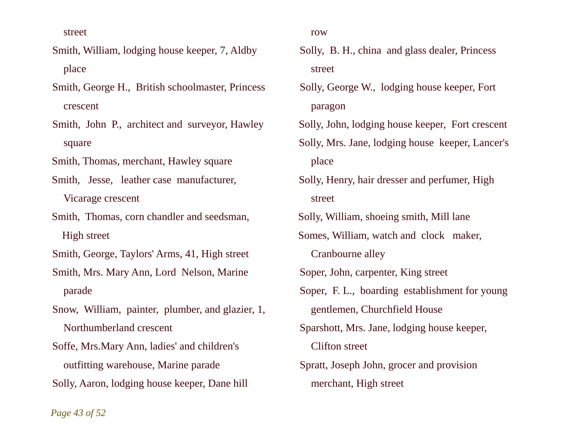street

- Smith, William, lodging house keeper, 7, Aldby place
- Smith, George H., British schoolmaster, Princess crescent
- Smith, John P., architect and surveyor, Hawley square
- Smith, Thomas, merchant, Hawley square
- Smith, Jesse, leather case manufacturer, Vicarage crescent
- Smith, Thomas, corn chandler and seedsman, High street
- Smith, George, Taylors' Arms, 41, High street
- Smith, Mrs. Mary Ann, Lord Nelson, Marine parade
- Snow, William, painter, plumber, and glazier, 1, Northumberland crescent
- Soffe, Mrs.Mary Ann, ladies' and children's outfitting warehouse, Marine parade Solly, Aaron, lodging house keeper, Dane hill
- row
- Solly, B. H., china and glass dealer, Princess street
- Solly, George W., lodging house keeper, Fort paragon
- Solly, John, lodging house keeper, Fort crescent Solly, Mrs. Jane, lodging house keeper, Lancer's place
- Solly, Henry, hair dresser and perfumer, High street
- Solly, William, shoeing smith, Mill lane
- Somes, William, watch and clock maker,
	- Cranbourne alley
- Soper, John, carpenter, King street
- Soper, F. L., boarding establishment for young gentlemen, Churchfield House
- Sparshott, Mrs. Jane, lodging house keeper, Clifton street
- Spratt, Joseph John, grocer and provision merchant, High street

*Page 43 of 52*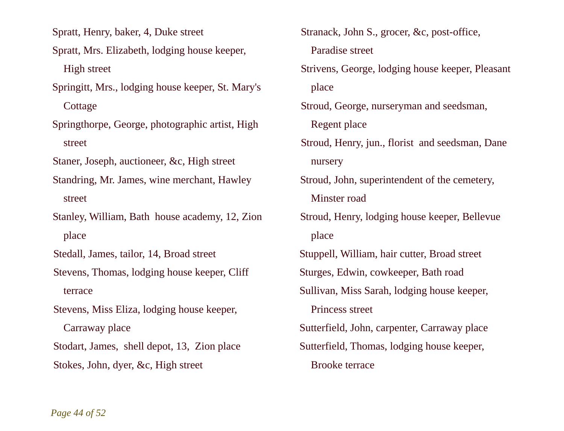Spratt, Henry, baker, 4, Duke street

- Spratt, Mrs. Elizabeth, lodging house keeper, High street
- Springitt, Mrs., lodging house keeper, St. Mary's **Cottage**
- Springthorpe, George, photographic artist, High street

Staner, Joseph, auctioneer, &c, High street

- Standring, Mr. James, wine merchant, Hawley street
- Stanley, William, Bath house academy, 12, Zion place

Stedall, James, tailor, 14, Broad street

- Stevens, Thomas, lodging house keeper, Cliff terrace
- Stevens, Miss Eliza, lodging house keeper, Carraway place

Stodart, James, shell depot, 13, Zion place Stokes, John, dyer, &c, High street

Stranack, John S., grocer, &c, post-office, Paradise street Strivens, George, lodging house keeper, Pleasant place Stroud, George, nurseryman and seedsman, Regent place Stroud, Henry, jun., florist and seedsman, Dane nursery Stroud, John, superintendent of the cemetery, Minster road Stroud, Henry, lodging house keeper, Bellevue place Stuppell, William, hair cutter, Broad street Sturges, Edwin, cowkeeper, Bath road Sullivan, Miss Sarah, lodging house keeper, Princess street Sutterfield, John, carpenter, Carraway place Sutterfield, Thomas, lodging house keeper,

Brooke terrace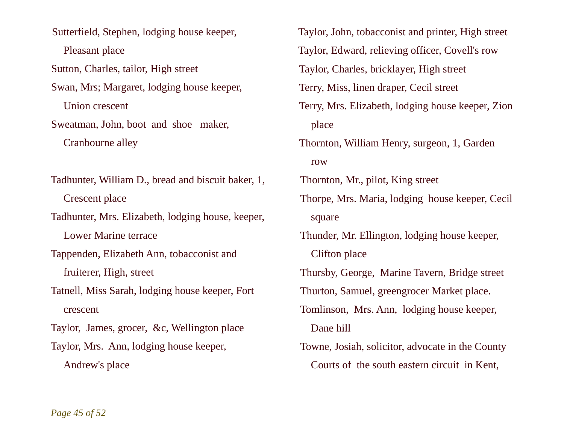Sutterfield, Stephen, lodging house keeper, Pleasant place Sutton, Charles, tailor, High street Swan, Mrs; Margaret, lodging house keeper, Union crescent Sweatman, John, boot and shoe maker, Cranbourne alley Tadhunter, William D., bread and biscuit baker, 1, Crescent place

Tadhunter, Mrs. Elizabeth, lodging house, keeper, Lower Marine terrace

Tappenden, Elizabeth Ann, tobacconist and fruiterer, High, street

Tatnell, Miss Sarah, lodging house keeper, Fort crescent

Taylor, James, grocer, &c, Wellington place

Taylor, Mrs. Ann, lodging house keeper, Andrew's place

Taylor, John, tobacconist and printer, High street Taylor, Edward, relieving officer, Covell's row Taylor, Charles, bricklayer, High street Terry, Miss, linen draper, Cecil street Terry, Mrs. Elizabeth, lodging house keeper, Zion place Thornton, William Henry, surgeon, 1, Garden row Thornton, Mr., pilot, King street Thorpe, Mrs. Maria, lodging house keeper, Cecil square Thunder, Mr. Ellington, lodging house keeper, Clifton place Thursby, George, Marine Tavern, Bridge street Thurton, Samuel, greengrocer Market place. Tomlinson, Mrs. Ann, lodging house keeper, Dane hill Towne, Josiah, solicitor, advocate in the County Courts of the south eastern circuit in Kent,

*Page 45 of 52*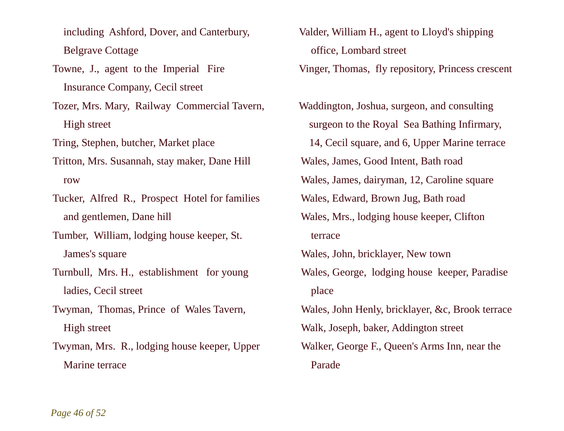including Ashford, Dover, and Canterbury, Belgrave Cottage

Towne, J., agent to the Imperial Fire Insurance Company, Cecil street

Tozer, Mrs. Mary, Railway Commercial Tavern, High street

Tring, Stephen, butcher, Market place

Tritton, Mrs. Susannah, stay maker, Dane Hill row

Tucker, Alfred R., Prospect Hotel for families and gentlemen, Dane hill

Tumber, William, lodging house keeper, St. James's square

Turnbull, Mrs. H., establishment for young ladies, Cecil street

Twyman, Thomas, Prince of Wales Tavern, High street

Twyman, Mrs. R., lodging house keeper, Upper Marine terrace

Valder, William H., agent to Lloyd's shipping office, Lombard street Vinger, Thomas, fly repository, Princess crescent

Waddington, Joshua, surgeon, and consulting surgeon to the Royal Sea Bathing Infirmary, 14, Cecil square, and 6, Upper Marine terrace Wales, James, Good Intent, Bath road Wales, James, dairyman, 12, Caroline square Wales, Edward, Brown Jug, Bath road Wales, Mrs., lodging house keeper, Clifton terrace Wales, John, bricklayer, New town Wales, George, lodging house keeper, Paradise place Wales, John Henly, bricklayer, &c, Brook terrace Walk, Joseph, baker, Addington street Walker, George F., Queen's Arms Inn, near the Parade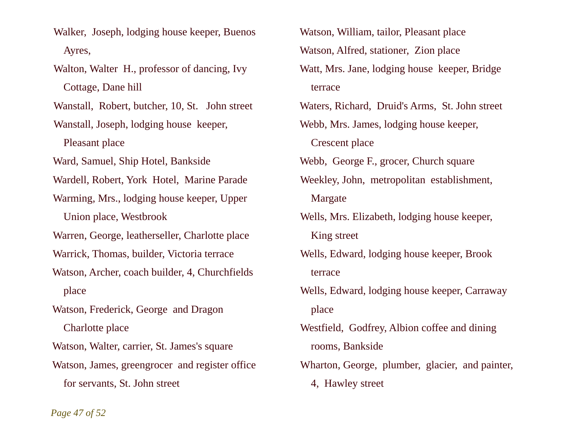- Walker, Joseph, lodging house keeper, Buenos Ayres,
- Walton, Walter H., professor of dancing, Ivy Cottage, Dane hill

Wanstall, Robert, butcher, 10, St. John street

Wanstall, Joseph, lodging house keeper, Pleasant place

Ward, Samuel, Ship Hotel, Bankside

Wardell, Robert, York Hotel, Marine Parade

Warming, Mrs., lodging house keeper, Upper Union place, Westbrook

Warren, George, leatherseller, Charlotte place

- Warrick, Thomas, builder, Victoria terrace
- Watson, Archer, coach builder, 4, Churchfields place
- Watson, Frederick, George and Dragon Charlotte place

Watson, Walter, carrier, St. James's square

- Watson, James, greengrocer and register office for servants, St. John street
- Watson, William, tailor, Pleasant place Watson, Alfred, stationer, Zion place Watt, Mrs. Jane, lodging house keeper, Bridge terrace Waters, Richard, Druid's Arms, St. John street Webb, Mrs. James, lodging house keeper, Crescent place Webb, George F., grocer, Church square Weekley, John, metropolitan establishment, Margate Wells, Mrs. Elizabeth, lodging house keeper, King street Wells, Edward, lodging house keeper, Brook terrace Wells, Edward, lodging house keeper, Carraway place Westfield, Godfrey, Albion coffee and dining rooms, Bankside Wharton, George, plumber, glacier, and painter, 4, Hawley street

*Page 47 of 52*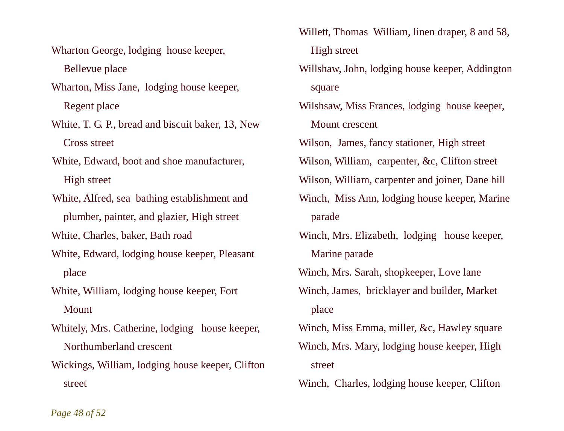Wharton George, lodging house keeper, Bellevue place

Wharton, Miss Jane, lodging house keeper, Regent place

White, T. G. P., bread and biscuit baker, 13, New Cross street

White, Edward, boot and shoe manufacturer, High street

White, Alfred, sea bathing establishment and plumber, painter, and glazier, High street

White, Charles, baker, Bath road

White, Edward, lodging house keeper, Pleasant place

White, William, lodging house keeper, Fort Mount

Whitely, Mrs. Catherine, lodging house keeper, Northumberland crescent

Wickings, William, lodging house keeper, Clifton street

Willett, Thomas William, linen draper, 8 and 58, High street

Willshaw, John, lodging house keeper, Addington square

Wilshsaw, Miss Frances, lodging house keeper, Mount crescent

Wilson, James, fancy stationer, High street

Wilson, William, carpenter, &c, Clifton street

Wilson, William, carpenter and joiner, Dane hill

- Winch, Miss Ann, lodging house keeper, Marine parade
- Winch, Mrs. Elizabeth, lodging house keeper, Marine parade

Winch, Mrs. Sarah, shopkeeper, Love lane

Winch, James, bricklayer and builder, Market place

Winch, Miss Emma, miller, &c, Hawley square Winch, Mrs. Mary, lodging house keeper, High street

Winch, Charles, lodging house keeper, Clifton

*Page 48 of 52*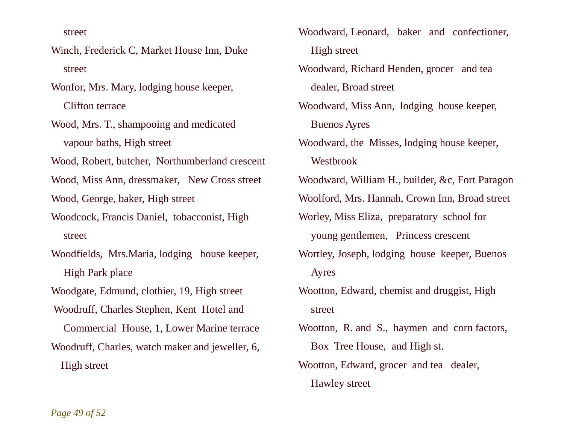street

- Winch, Frederick C, Market House Inn, Duke street
- Wonfor, Mrs. Mary, lodging house keeper, Clifton terrace
- Wood, Mrs. T., shampooing and medicated vapour baths, High street
- Wood, Robert, butcher, Northumberland crescent
- Wood, Miss Ann, dressmaker, New Cross street
- Wood, George, baker, High street
- Woodcock, Francis Daniel, tobacconist, High street
- Woodfields, Mrs.Maria, lodging house keeper, High Park place
- Woodgate, Edmund, clothier, 19, High street
- Woodruff, Charles Stephen, Kent Hotel and
- Commercial House, 1, Lower Marine terrace Woodruff, Charles, watch maker and jeweller, 6, High street
- Woodward, Leonard, baker and confectioner, High street
- Woodward, Richard Henden, grocer and tea dealer, Broad street
- Woodward, Miss Ann, lodging house keeper, Buenos Ayres
- Woodward, the Misses, lodging house keeper, Westbrook
- Woodward, William H., builder, &c, Fort Paragon
- Woolford, Mrs. Hannah, Crown Inn, Broad street
- Worley, Miss Eliza, preparatory school for young gentlemen, Princess crescent
- Wortley, Joseph, lodging house keeper, Buenos Ayres
- Wootton, Edward, chemist and druggist, High street
- Wootton, R. and S., haymen and corn factors, Box Tree House, and High st.
- Wootton, Edward, grocer and tea dealer, Hawley street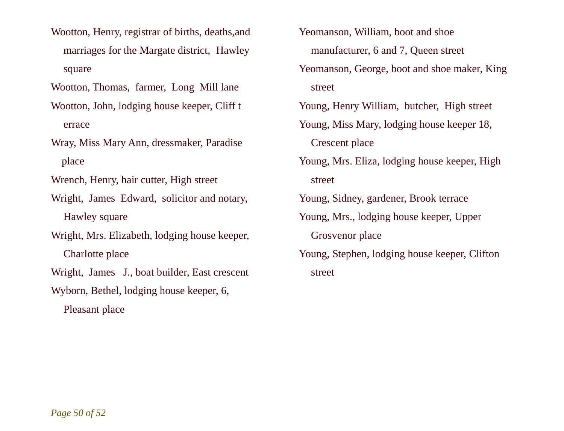Wootton, Henry, registrar of births, deaths,and marriages for the Margate district, Hawley square

Wootton, Thomas, farmer, Long Mill lane

- Wootton, John, lodging house keeper, Cliff t errace
- Wray, Miss Mary Ann, dressmaker, Paradise place

Wrench, Henry, hair cutter, High street

- Wright, James Edward, solicitor and notary, Hawley square
- Wright, Mrs. Elizabeth, lodging house keeper, Charlotte place

Wright, James J., boat builder, East crescent

Wyborn, Bethel, lodging house keeper, 6,

Pleasant place

Yeomanson, William, boot and shoe manufacturer, 6 and 7, Queen street Yeomanson, George, boot and shoe maker, King street Young, Henry William, butcher, High street Young, Miss Mary, lodging house keeper 18, Crescent place Young, Mrs. Eliza, lodging house keeper, High street Young, Sidney, gardener, Brook terrace

- Young, Mrs., lodging house keeper, Upper Grosvenor place
- Young, Stephen, lodging house keeper, Clifton street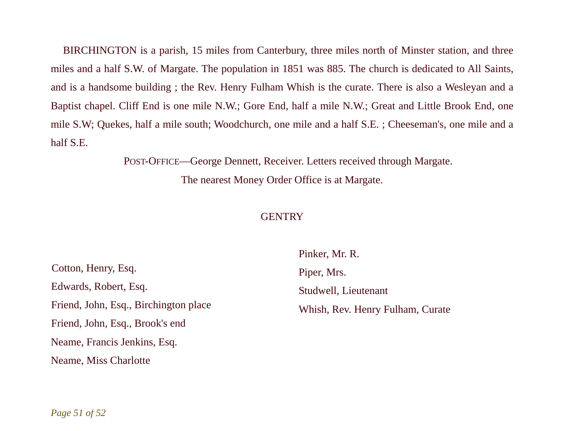BIRCHINGTON is a parish, 15 miles from Canterbury, three miles north of Minster station, and three miles and a half S.W. of Margate. The population in 1851 was 885. The church is dedicated to All Saints, and is a handsome building ; the Rev. Henry Fulham Whish is the curate. There is also a Wesleyan and a Baptist chapel. Cliff End is one mile N.W.; Gore End, half a mile N.W.; Great and Little Brook End, one mile S.W; Quekes, half a mile south; Woodchurch, one mile and a half S.E. ; Cheeseman's, one mile and a half S.E.

> POST-OFFICE—George Dennett, Receiver. Letters received through Margate. The nearest Money Order Office is at Margate.

## **GENTRY**

Cotton, Henry, Esq. Edwards, Robert, Esq. Friend, John, Esq., Birchington place Friend, John, Esq., Brook's end Neame, Francis Jenkins, Esq. Neame, Miss Charlotte

Pinker, Mr. R. Piper, Mrs. Studwell, Lieutenant Whish, Rev. Henry Fulham, Curate